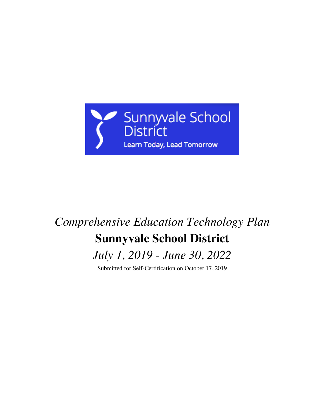

# *Comprehensive Education Technology Plan* **Sunnyvale School District**

*July 1, 2019 - June 30, 2022*

Submitted for Self-Certification on October 17, 2019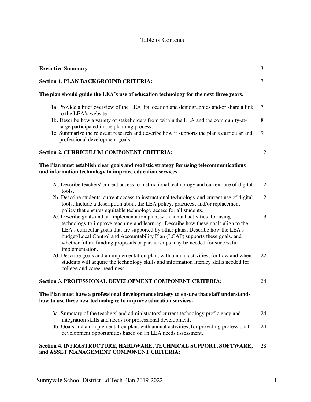### Table of Contents

| <b>Executive Summary</b>                                                                                                                                                                                                                                                                                                                                                                                                                        |                |  |  |
|-------------------------------------------------------------------------------------------------------------------------------------------------------------------------------------------------------------------------------------------------------------------------------------------------------------------------------------------------------------------------------------------------------------------------------------------------|----------------|--|--|
| <b>Section 1. PLAN BACKGROUND CRITERIA:</b>                                                                                                                                                                                                                                                                                                                                                                                                     | $\overline{7}$ |  |  |
| The plan should guide the LEA's use of education technology for the next three years.                                                                                                                                                                                                                                                                                                                                                           |                |  |  |
| 1a. Provide a brief overview of the LEA, its location and demographics and/or share a link<br>to the LEA's website.                                                                                                                                                                                                                                                                                                                             | 7              |  |  |
| 1b. Describe how a variety of stakeholders from within the LEA and the community-at-<br>large participated in the planning process.                                                                                                                                                                                                                                                                                                             | 8              |  |  |
| 1c. Summarize the relevant research and describe how it supports the plan's curricular and<br>professional development goals.                                                                                                                                                                                                                                                                                                                   | 9              |  |  |
| <b>Section 2. CURRICULUM COMPONENT CRITERIA:</b>                                                                                                                                                                                                                                                                                                                                                                                                | 12             |  |  |
| The Plan must establish clear goals and realistic strategy for using telecommunications<br>and information technology to improve education services.                                                                                                                                                                                                                                                                                            |                |  |  |
| 2a. Describe teachers' current access to instructional technology and current use of digital<br>tools.                                                                                                                                                                                                                                                                                                                                          | 12             |  |  |
| 2b. Describe students' current access to instructional technology and current use of digital<br>tools. Include a description about the LEA policy, practices, and/or replacement<br>policy that ensures equitable technology access for all students.                                                                                                                                                                                           | 12             |  |  |
| 2c. Describe goals and an implementation plan, with annual activities, for using<br>technology to improve teaching and learning. Describe how these goals align to the<br>LEA's curricular goals that are supported by other plans. Describe how the LEA's<br>budget/Local Control and Accountability Plan (LCAP) supports these goals, and<br>whether future funding proposals or partnerships may be needed for successful<br>implementation. | 13             |  |  |
| 2d. Describe goals and an implementation plan, with annual activities, for how and when<br>students will acquire the technology skills and information literacy skills needed for<br>college and career readiness.                                                                                                                                                                                                                              | 22             |  |  |
| <b>Section 3. PROFESSIONAL DEVELOPMENT COMPONENT CRITERIA:</b>                                                                                                                                                                                                                                                                                                                                                                                  | 24             |  |  |
| The Plan must have a professional development strategy to ensure that staff understands<br>how to use these new technologies to improve education services.                                                                                                                                                                                                                                                                                     |                |  |  |
| 3a. Summary of the teachers' and administrators' current technology proficiency and<br>integration skills and needs for professional development.                                                                                                                                                                                                                                                                                               | 24             |  |  |
| 3b. Goals and an implementation plan, with annual activities, for providing professional<br>development opportunities based on an LEA needs assessment.                                                                                                                                                                                                                                                                                         | 24             |  |  |
| Section 4. INFRASTRUCTURE, HARDWARE, TECHNICAL SUPPORT, SOFTWARE,<br>and ASSET MANAGEMENT COMPONENT CRITERIA:                                                                                                                                                                                                                                                                                                                                   | 28             |  |  |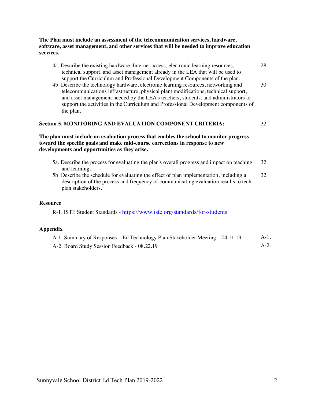#### **The Plan must include an assessment of the telecommunication services, hardware, software, asset management, and other services that will be needed to improve education services.**

- 4a. Describe the existing hardware, Internet access, electronic learning resources, technical support, and asset management already in the LEA that will be used to support the Curriculum and Professional Development Components of the plan.
- 4b. Describe the technology hardware, electronic learning resources, networking and telecommunications infrastructure, physical plant modifications, technical support, and asset management needed by the LEA's teachers, students, and administrators to support the activities in the Curriculum and Professional Development components of the plan.

#### **Section 5. MONITORING AND EVALUATION COMPONENT CRITERIA:** 32

#### **The plan must include an evaluation process that enables the school to monitor progress toward the specific goals and make mid-course corrections in response to new developments and opportunities as they arise.**

- 5a. Describe the process for evaluating the plan's overall progress and impact on teaching and learning. 32
- 5b. Describe the schedule for evaluating the effect of plan implementation, including a description of the process and frequency of communicating evaluation results to tech plan stakeholders. 32

#### **Resource**

R-1. ISTE Student Standards - https://www.iste.org/standards/for-students

#### **Appendix**

| A-1. Summary of Responses – Ed Technology Plan Stakeholder Meeting – 04.11.19 | A-1. |
|-------------------------------------------------------------------------------|------|
| A-2. Board Study Session Feedback - 08.22.19                                  |      |

28

30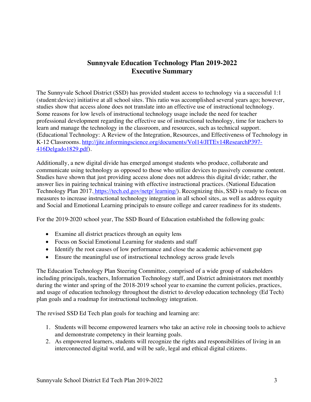### **Sunnyvale Education Technology Plan 2019-2022 Executive Summary**

The Sunnyvale School District (SSD) has provided student access to technology via a successful 1:1 (student:device) initiative at all school sites. This ratio was accomplished several years ago; however, studies show that access alone does not translate into an effective use of instructional technology. Some reasons for low levels of instructional technology usage include the need for teacher professional development regarding the effective use of instructional technology, time for teachers to learn and manage the technology in the classroom, and resources, such as technical support. (Educational Technology: A Review of the Integration, Resources, and Effectiveness of Technology in K-12 Classrooms. http://jite.informingscience.org/documents/Vol14/JITEv14ResearchP397- 416Delgado1829.pdf).

Additionally, a new digital divide has emerged amongst students who produce, collaborate and communicate using technology as opposed to those who utilize devices to passively consume content. Studies have shown that just providing access alone does not address this digital divide; rather, the answer lies in pairing technical training with effective instructional practices. (National Education Technology Plan 2017. https://tech.ed.gov/netp/ learning/). Recognizing this, SSD is ready to focus on measures to increase instructional technology integration in all school sites, as well as address equity and Social and Emotional Learning principals to ensure college and career readiness for its students.

For the 2019-2020 school year, The SSD Board of Education established the following goals:

- Examine all district practices through an equity lens
- Focus on Social Emotional Learning for students and staff
- Identify the root causes of low performance and close the academic achievement gap
- Ensure the meaningful use of instructional technology across grade levels

The Education Technology Plan Steering Committee, comprised of a wide group of stakeholders including principals, teachers, Information Technology staff, and District administrators met monthly during the winter and spring of the 2018-2019 school year to examine the current policies, practices, and usage of education technology throughout the district to develop education technology (Ed Tech) plan goals and a roadmap for instructional technology integration.

The revised SSD Ed Tech plan goals for teaching and learning are:

- 1. Students will become empowered learners who take an active role in choosing tools to achieve and demonstrate competency in their learning goals.
- 2. As empowered learners, students will recognize the rights and responsibilities of living in an interconnected digital world, and will be safe, legal and ethical digital citizens.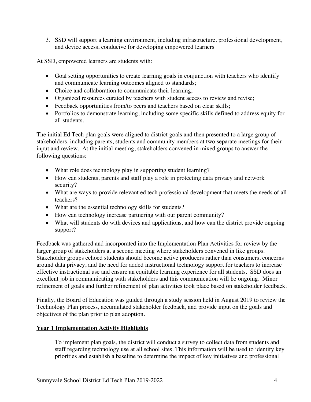3. SSD will support a learning environment, including infrastructure, professional development, and device access, conducive for developing empowered learners

At SSD, empowered learners are students with:

- Goal setting opportunities to create learning goals in conjunction with teachers who identify and communicate learning outcomes aligned to standards;
- Choice and collaboration to communicate their learning;
- Organized resources curated by teachers with student access to review and revise;
- Feedback opportunities from/to peers and teachers based on clear skills;
- Portfolios to demonstrate learning, including some specific skills defined to address equity for all students.

The initial Ed Tech plan goals were aligned to district goals and then presented to a large group of stakeholders, including parents, students and community members at two separate meetings for their input and review. At the initial meeting, stakeholders convened in mixed groups to answer the following questions:

- What role does technology play in supporting student learning?
- How can students, parents and staff play a role in protecting data privacy and network security?
- What are ways to provide relevant ed tech professional development that meets the needs of all teachers?
- What are the essential technology skills for students?
- How can technology increase partnering with our parent community?
- What will students do with devices and applications, and how can the district provide ongoing support?

Feedback was gathered and incorporated into the Implementation Plan Activities for review by the larger group of stakeholders at a second meeting where stakeholders convened in like groups. Stakeholder groups echoed students should become active producers rather than consumers, concerns around data privacy, and the need for added instructional technology support for teachers to increase effective instructional use and ensure an equitable learning experience for all students. SSD does an excellent job in communicating with stakeholders and this communication will be ongoing. Minor refinement of goals and further refinement of plan activities took place based on stakeholder feedback.

Finally, the Board of Education was guided through a study session held in August 2019 to review the Technology Plan process, accumulated stakeholder feedback, and provide input on the goals and objectives of the plan prior to plan adoption.

#### **Year 1 Implementation Activity Highlights**

To implement plan goals, the district will conduct a survey to collect data from students and staff regarding technology use at all school sites. This information will be used to identify key priorities and establish a baseline to determine the impact of key initiatives and professional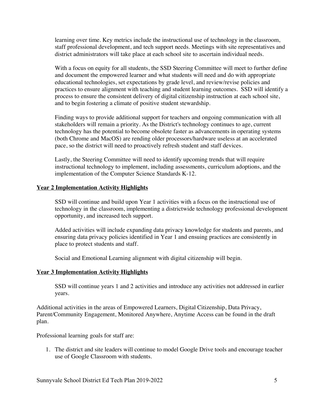learning over time. Key metrics include the instructional use of technology in the classroom, staff professional development, and tech support needs. Meetings with site representatives and district administrators will take place at each school site to ascertain individual needs.

With a focus on equity for all students, the SSD Steering Committee will meet to further define and document the empowered learner and what students will need and do with appropriate educational technologies, set expectations by grade level, and review/revise policies and practices to ensure alignment with teaching and student learning outcomes. SSD will identify a process to ensure the consistent delivery of digital citizenship instruction at each school site, and to begin fostering a climate of positive student stewardship.

Finding ways to provide additional support for teachers and ongoing communication with all stakeholders will remain a priority. As the District's technology continues to age, current technology has the potential to become obsolete faster as advancements in operating systems (both Chrome and MacOS) are rending older processors/hardware useless at an accelerated pace, so the district will need to proactively refresh student and staff devices.

Lastly, the Steering Committee will need to identify upcoming trends that will require instructional technology to implement, including assessments, curriculum adoptions, and the implementation of the Computer Science Standards K-12.

#### **Year 2 Implementation Activity Highlights**

SSD will continue and build upon Year 1 activities with a focus on the instructional use of technology in the classroom, implementing a districtwide technology professional development opportunity, and increased tech support.

Added activities will include expanding data privacy knowledge for students and parents, and ensuring data privacy policies identified in Year 1 and ensuing practices are consistently in place to protect students and staff.

Social and Emotional Learning alignment with digital citizenship will begin.

#### **Year 3 Implementation Activity Highlights**

SSD will continue years 1 and 2 activities and introduce any activities not addressed in earlier years.

Additional activities in the areas of Empowered Learners, Digital Citizenship, Data Privacy, Parent/Community Engagement, Monitored Anywhere, Anytime Access can be found in the draft plan.

Professional learning goals for staff are:

1. The district and site leaders will continue to model Google Drive tools and encourage teacher use of Google Classroom with students.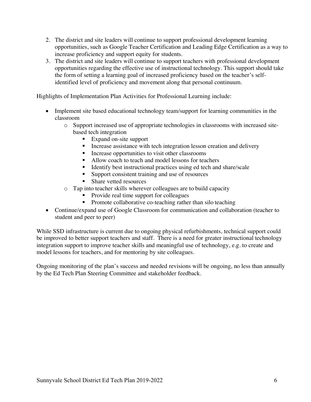- 2. The district and site leaders will continue to support professional development learning opportunities, such as Google Teacher Certification and Leading Edge Certification as a way to increase proficiency and support equity for students.
- 3. The district and site leaders will continue to support teachers with professional development opportunities regarding the effective use of instructional technology. This support should take the form of setting a learning goal of increased proficiency based on the teacher's selfidentified level of proficiency and movement along that personal continuum.

Highlights of Implementation Plan Activities for Professional Learning include:

- Implement site based educational technology team/support for learning communities in the classroom
	- o Support increased use of appropriate technologies in classrooms with increased sitebased tech integration
		- Expand on-site support
		- **•** Increase assistance with tech integration lesson creation and delivery
		- Increase opportunities to visit other classrooms
		- Allow coach to teach and model lessons for teachers
		- Identify best instructional practices using ed tech and share/scale
		- Support consistent training and use of resources
		- Share vetted resources
	- o Tap into teacher skills wherever colleagues are to build capacity
		- Provide real time support for colleagues
		- Promote collaborative co-teaching rather than silo teaching
- Continue/expand use of Google Classroom for communication and collaboration (teacher to student and peer to peer)

While SSD infrastructure is current due to ongoing physical refurbishments, technical support could be improved to better support teachers and staff. There is a need for greater instructional technology integration support to improve teacher skills and meaningful use of technology, e.g. to create and model lessons for teachers, and for mentoring by site colleagues.

Ongoing monitoring of the plan's success and needed revisions will be ongoing, no less than annually by the Ed Tech Plan Steering Committee and stakeholder feedback.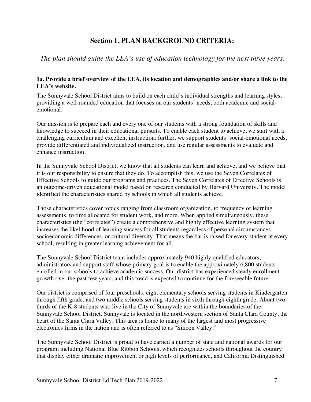### **Section 1. PLAN BACKGROUND CRITERIA:**

*The plan should guide the LEA's use of education technology for the next three years.*

#### **1a. Provide a brief overview of the LEA, its location and demographics and/or share a link to the LEA's website.**

The Sunnyvale School District aims to build on each child's individual strengths and learning styles, providing a well-rounded education that focuses on our students' needs, both academic and socialemotional.

Our mission is to prepare each and every one of our students with a strong foundation of skills and knowledge to succeed in their educational pursuits. To enable each student to achieve, we start with a challenging curriculum and excellent instruction; further, we support students' social-emotional needs, provide differentiated and individualized instruction, and use regular assessments to evaluate and enhance instruction.

In the Sunnyvale School District, we know that all students can learn and achieve, and we believe that it is our responsibility to ensure that they do. To accomplish this, we use the Seven Correlates of Effective Schools to guide our programs and practices. The Seven Correlates of Effective Schools is an outcome-driven educational model based on research conducted by Harvard University. The model identified the characteristics shared by schools in which all students achieve.

Those characteristics cover topics ranging from classroom organization, to frequency of learning assessments, to time allocated for student work, and more. When applied simultaneously, these characteristics (the "correlates") create a comprehensive and highly effective learning system that increases the likelihood of learning success for all students regardless of personal circumstances, socioeconomic differences, or cultural diversity. That means the bar is raised for every student at every school, resulting in greater learning achievement for all.

The Sunnyvale School District team includes approximately 940 highly qualified educators, administrators and support staff whose primary goal is to enable the approximately 6,800 students enrolled in our schools to achieve academic success. Our district has experienced steady enrollment growth over the past few years, and this trend is expected to continue for the foreseeable future.

Our district is comprised of four preschools, eight elementary schools serving students in Kindergarten through fifth grade, and two middle schools serving students in sixth through eighth grade. About twothirds of the K-8 students who live in the City of Sunnyvale are within the boundaries of the Sunnyvale School District. Sunnyvale is located in the northwestern section of Santa Clara County, the heart of the Santa Clara Valley. This area is home to many of the largest and most progressive electronics firms in the nation and is often referred to as "Silicon Valley."

The Sunnyvale School District is proud to have earned a number of state and national awards for our program, including National Blue Ribbon Schools, which recognizes schools throughout the country that display either dramatic improvement or high levels of performance, and California Distinguished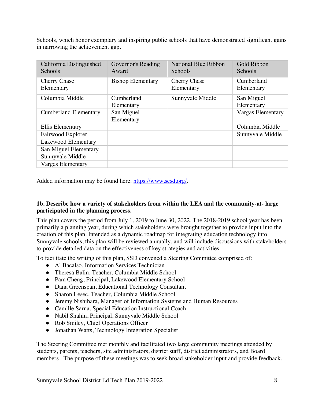Schools, which honor exemplary and inspiring public schools that have demonstrated significant gains in narrowing the achievement gap.

| California Distinguished<br>Schools | Governor's Reading<br>Award | <b>National Blue Ribbon</b><br>Schools | Gold Ribbon<br>Schools   |
|-------------------------------------|-----------------------------|----------------------------------------|--------------------------|
| <b>Cherry Chase</b><br>Elementary   | <b>Bishop Elementary</b>    | <b>Cherry Chase</b><br>Elementary      | Cumberland<br>Elementary |
| Columbia Middle                     | Cumberland                  | Sunnyvale Middle                       | San Miguel               |
|                                     | Elementary                  |                                        | Elementary               |
| <b>Cumberland Elementary</b>        | San Miguel                  |                                        | <b>Vargas Elementary</b> |
|                                     | Elementary                  |                                        |                          |
| <b>Ellis Elementary</b>             |                             |                                        | Columbia Middle          |
| Fairwood Explorer                   |                             |                                        | Sunnyvale Middle         |
| Lakewood Elementary                 |                             |                                        |                          |
| San Miguel Elementary               |                             |                                        |                          |
| Sunnyvale Middle                    |                             |                                        |                          |
| Vargas Elementary                   |                             |                                        |                          |

Added information may be found here: https://www.sesd.org/.

#### **1b. Describe how a variety of stakeholders from within the LEA and the community-at- large participated in the planning process.**

This plan covers the period from July 1, 2019 to June 30, 2022. The 2018-2019 school year has been primarily a planning year, during which stakeholders were brought together to provide input into the creation of this plan. Intended as a dynamic roadmap for integrating education technology into Sunnyvale schools, this plan will be reviewed annually, and will include discussions with stakeholders to provide detailed data on the effectiveness of key strategies and activities.

To facilitate the writing of this plan, SSD convened a Steering Committee comprised of:

- Al Bacalso, Information Services Technician
- Theresa Balin, Teacher, Columbia Middle School
- Pam Cheng, Principal, Lakewood Elementary School
- Dana Greenspan, Educational Technology Consultant
- Sharon Lesec, Teacher, Columbia Middle School
- Jeremy Nishihara, Manager of Information Systems and Human Resources
- Camille Sarna, Special Education Instructional Coach
- Nabil Shahin, Principal, Sunnyvale Middle School
- Rob Smiley, Chief Operations Officer
- Jonathan Watts, Technology Integration Specialist

The Steering Committee met monthly and facilitated two large community meetings attended by students, parents, teachers, site administrators, district staff, district administrators, and Board members. The purpose of these meetings was to seek broad stakeholder input and provide feedback.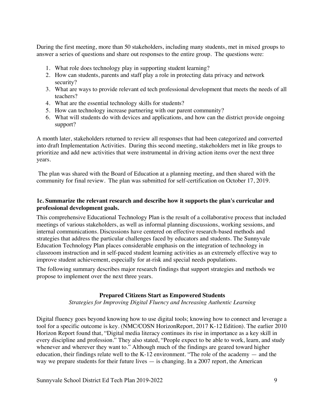During the first meeting, more than 50 stakeholders, including many students, met in mixed groups to answer a series of questions and share out responses to the entire group. The questions were:

- 1. What role does technology play in supporting student learning?
- 2. How can students, parents and staff play a role in protecting data privacy and network security?
- 3. What are ways to provide relevant ed tech professional development that meets the needs of all teachers?
- 4. What are the essential technology skills for students?
- 5. How can technology increase partnering with our parent community?
- 6. What will students do with devices and applications, and how can the district provide ongoing support?

A month later, stakeholders returned to review all responses that had been categorized and converted into draft Implementation Activities. During this second meeting, stakeholders met in like groups to prioritize and add new activities that were instrumental in driving action items over the next three years.

The plan was shared with the Board of Education at a planning meeting, and then shared with the community for final review. The plan was submitted for self-certification on October 17, 2019.

#### **1c. Summarize the relevant research and describe how it supports the plan's curricular and professional development goals.**

This comprehensive Educational Technology Plan is the result of a collaborative process that included meetings of various stakeholders, as well as informal planning discussions, working sessions, and internal communications. Discussions have centered on effective research-based methods and strategies that address the particular challenges faced by educators and students. The Sunnyvale Education Technology Plan places considerable emphasis on the integration of technology in classroom instruction and in self-paced student learning activities as an extremely effective way to improve student achievement, especially for at-risk and special needs populations.

The following summary describes major research findings that support strategies and methods we propose to implement over the next three years.

#### **Prepared Citizens Start as Empowered Students**

*Strategies for Improving Digital Fluency and Increasing Authentic Learning*

Digital fluency goes beyond knowing how to use digital tools; knowing how to connect and leverage a tool for a specific outcome is key. (NMC/COSN HorizonReport, 2017 K-12 Edition). The earlier 2010 Horizon Report found that, "Digital media literacy continues its rise in importance as a key skill in every discipline and profession." They also stated, "People expect to be able to work, learn, and study whenever and wherever they want to." Although much of the findings are geared toward higher education, their findings relate well to the K-12 environment. "The role of the academy — and the way we prepare students for their future lives — is changing. In a 2007 report, the American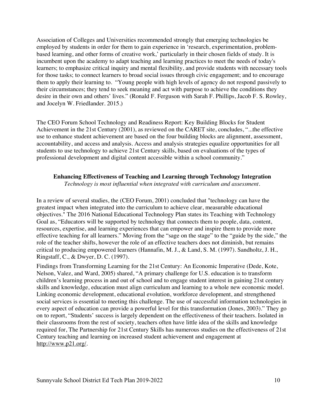Association of Colleges and Universities recommended strongly that emerging technologies be employed by students in order for them to gain experience in 'research, experimentation, problembased learning, and other forms of creative work,' particularly in their chosen fields of study. It is incumbent upon the academy to adapt teaching and learning practices to meet the needs of today's learners; to emphasize critical inquiry and mental flexibility, and provide students with necessary tools for those tasks; to connect learners to broad social issues through civic engagement; and to encourage them to apply their learning to. "Young people with high levels of agency do not respond passively to their circumstances; they tend to seek meaning and act with purpose to achieve the conditions they desire in their own and others' lives." (Ronald F. Ferguson with Sarah F. Phillips, Jacob F. S. Rowley, and Jocelyn W. Friedlander. 2015.)

The CEO Forum School Technology and Readiness Report: Key Building Blocks for Student Achievement in the 21st Century (2001), as reviewed on the CARET site, concludes, "...the effective use to enhance student achievement are based on the four building blocks are alignment, assessment, accountability, and access and analysis. Access and analysis strategies equalize opportunities for all students to use technology to achieve 21st Century skills, based on evaluations of the types of professional development and digital content accessible within a school community."

#### **Enhancing Effectiveness of Teaching and Learning through Technology Integration**

*Technology is most influential when integrated with curriculum and assessment.*

In a review of several studies, the (CEO Forum, 2001) concluded that "technology can have the greatest impact when integrated into the curriculum to achieve clear, measurable educational objectives." The 2016 National Educational Technology Plan states its Teaching with Technology Goal as, "Educators will be supported by technology that connects them to people, data, content, resources, expertise, and learning experiences that can empower and inspire them to provide more effective teaching for all learners." Moving from the "sage on the stage" to the "guide by the side," the role of the teacher shifts, however the role of an effective teachers does not diminish, but remains critical to producing empowered learners (Hannafin, M. J., & Land, S. M. (1997). Sandholtz, J. H., Ringstaff, C., & Dwyer, D. C. (1997).

Findings from Transforming Learning for the 21st Century: An Economic Imperative (Dede, Kote, Nelson, Valez, and Ward, 2005) shared, "A primary challenge for U.S. education is to transform children's learning process in and out of school and to engage student interest in gaining 21st century skills and knowledge, education must align curriculum and learning to a whole new economic model. Linking economic development, educational evolution, workforce development, and strengthened social services is essential to meeting this challenge. The use of successful information technologies in every aspect of education can provide a powerful level for this transformation (Jones, 2003)." They go on to report, "Students' success is largely dependent on the effectiveness of their teachers. Isolated in their classrooms from the rest of society, teachers often have little idea of the skills and knowledge required for, The Partnership for 21st Century Skills has numerous studies on the effectiveness of 21st Century teaching and learning on increased student achievement and engagement at http://www.p21.org/.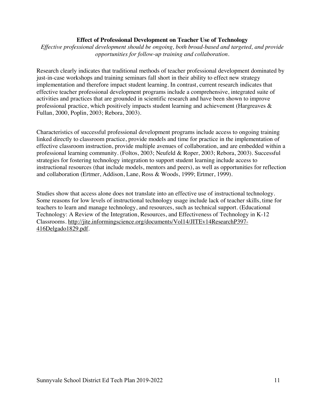#### **Effect of Professional Development on Teacher Use of Technology**

*Effective professional development should be ongoing, both broad-based and targeted, and provide opportunities for follow-up training and collaboration.*

Research clearly indicates that traditional methods of teacher professional development dominated by just-in-case workshops and training seminars fall short in their ability to effect new strategy implementation and therefore impact student learning. In contrast, current research indicates that effective teacher professional development programs include a comprehensive, integrated suite of activities and practices that are grounded in scientific research and have been shown to improve professional practice, which positively impacts student learning and achievement (Hargreaves & Fullan, 2000, Poplin, 2003; Rebora, 2003).

Characteristics of successful professional development programs include access to ongoing training linked directly to classroom practice, provide models and time for practice in the implementation of effective classroom instruction, provide multiple avenues of collaboration, and are embedded within a professional learning community. (Foltos, 2003; Neufeld & Roper, 2003; Rebora, 2003). Successful strategies for fostering technology integration to support student learning include access to instructional resources (that include models, mentors and peers), as well as opportunities for reflection and collaboration (Ertmer, Addison, Lane, Ross & Woods, 1999; Ertmer, 1999).

Studies show that access alone does not translate into an effective use of instructional technology. Some reasons for low levels of instructional technology usage include lack of teacher skills, time for teachers to learn and manage technology, and resources, such as technical support. (Educational Technology: A Review of the Integration, Resources, and Effectiveness of Technology in K-12 Classrooms. http://jite.informingscience.org/documents/Vol14/JITEv14ResearchP397- 416Delgado1829.pdf.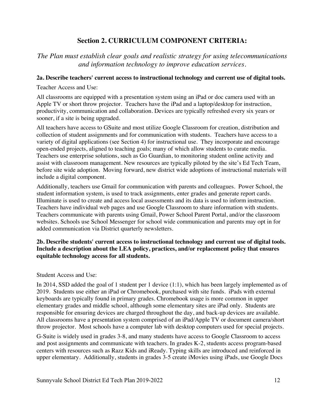### **Section 2. CURRICULUM COMPONENT CRITERIA:**

### *The Plan must establish clear goals and realistic strategy for using telecommunications and information technology to improve education services.*

#### **2a. Describe teachers' current access to instructional technology and current use of digital tools.**

Teacher Access and Use:

All classrooms are equipped with a presentation system using an iPad or doc camera used with an Apple TV or short throw projector. Teachers have the iPad and a laptop/desktop for instruction, productivity, communication and collaboration. Devices are typically refreshed every six years or sooner, if a site is being upgraded.

All teachers have access to GSuite and most utilize Google Classroom for creation, distribution and collection of student assignments and for communication with students. Teachers have access to a variety of digital applications (see Section 4) for instructional use. They incorporate and encourage open-ended projects, aligned to teaching goals; many of which allow students to curate media. Teachers use enterprise solutions, such as Go Guardian, to monitoring student online activity and assist with classroom management. New resources are typically piloted by the site's Ed Tech Team, before site wide adoption. Moving forward, new district wide adoptions of instructional materials will include a digital component.

Additionally, teachers use Gmail for communication with parents and colleagues. Power School, the student information system, is used to track assignments, enter grades and generate report cards. Illuminate is used to create and access local assessments and its data is used to inform instruction. Teachers have individual web pages and use Google Classroom to share information with students. Teachers communicate with parents using Gmail, Power School Parent Portal, and/or the classroom websites. Schools use School Messenger for school wide communication and parents may opt in for added communication via District quarterly newsletters.

#### **2b. Describe students' current access to instructional technology and current use of digital tools. Include a description about the LEA policy, practices, and/or replacement policy that ensures equitable technology access for all students.**

#### Student Access and Use:

In 2014, SSD added the goal of 1 student per 1 device (1:1), which has been largely implemented as of 2019. Students use either an iPad or Chromebook, purchased with site funds. iPads with external keyboards are typically found in primary grades. Chromebook usage is more common in upper elementary grades and middle school, although some elementary sites are iPad only. Students are responsible for ensuring devices are charged throughout the day, and back-up devices are available. All classrooms have a presentation system comprised of an iPad/Apple TV or document camera/short throw projector. Most schools have a computer lab with desktop computers used for special projects.

G-Suite is widely used in grades 3-8, and many students have access to Google Classroom to access and post assignments and communicate with teachers. In grades K-2, students access program-based centers with resources such as Razz Kids and iReady. Typing skills are introduced and reinforced in upper elementary. Additionally, students in grades 3-5 create iMovies using iPads, use Google Docs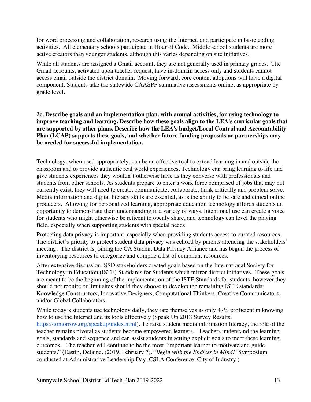for word processing and collaboration, research using the Internet, and participate in basic coding activities. All elementary schools participate in Hour of Code. Middle school students are more active creators than younger students, although this varies depending on site initiatives.

While all students are assigned a Gmail account, they are not generally used in primary grades. The Gmail accounts, activated upon teacher request, have in-domain access only and students cannot access email outside the district domain. Moving forward, core content adoptions will have a digital component. Students take the statewide CAASPP summative assessments online, as appropriate by grade level.

**2c. Describe goals and an implementation plan, with annual activities, for using technology to improve teaching and learning. Describe how these goals align to the LEA's curricular goals that are supported by other plans. Describe how the LEA's budget/Local Control and Accountability Plan (LCAP) supports these goals, and whether future funding proposals or partnerships may be needed for successful implementation.**

Technology, when used appropriately, can be an effective tool to extend learning in and outside the classroom and to provide authentic real world experiences. Technology can bring learning to life and give students experiences they wouldn't otherwise have as they converse with professionals and students from other schools. As students prepare to enter a work force comprised of jobs that may not currently exist, they will need to create, communicate, collaborate, think critically and problem solve. Media information and digital literacy skills are essential, as is the ability to be safe and ethical online producers. Allowing for personalized learning, appropriate education technology affords students an opportunity to demonstrate their understanding in a variety of ways. Intentional use can create a voice for students who might otherwise be reticent to openly share, and technology can level the playing field, especially when supporting students with special needs.

Protecting data privacy is important, especially when providing students access to curated resources. The district's priority to protect student data privacy was echoed by parents attending the stakeholders' meeting. The district is joining the CA Student Data Privacy Alliance and has begun the process of inventorying resources to categorize and compile a list of compliant resources.

After extensive discussion, SSD stakeholders created goals based on the International Society for Technology in Education (ISTE) Standards for Students which mirror district initiatives. These goals are meant to be the beginning of the implementation of the ISTE Standards for students, however they should not require or limit sites should they choose to develop the remaining ISTE standards: Knowledge Constructors, Innovative Designers, Computational Thinkers, Creative Communicators, and/or Global Collaborators.

While today's students use technology daily, they rate themselves as only 47% proficient in knowing how to use the Internet and its tools effectively (Speak Up 2018 Survey Results. https://tomorrow.org/speakup/index.html). To raise student media information literacy, the role of the teacher remains pivotal as students become empowered learners. Teachers understand the learning goals, standards and sequence and can assist students in setting explicit goals to meet these learning outcomes. The teacher will continue to be the most "important learner to motivate and guide students." (Eastin, Delaine. (2019, February 7). "*Begin with the Endless in Mind*." Symposium conducted at Administrative Leadership Day, CSLA Conference, City of Industry.)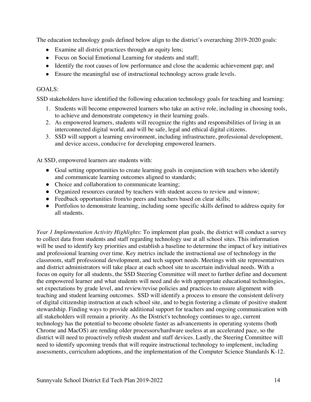The education technology goals defined below align to the district's overarching 2019-2020 goals:

- Examine all district practices through an equity lens;
- Focus on Social Emotional Learning for students and staff;
- Identify the root causes of low performance and close the academic achievement gap; and
- Ensure the meaningful use of instructional technology across grade levels.

#### GOALS:

SSD stakeholders have identified the following education technology goals for teaching and learning:

- 1. Students will become empowered learners who take an active role, including in choosing tools, to achieve and demonstrate competency in their learning goals.
- 2. As empowered learners, students will recognize the rights and responsibilities of living in an interconnected digital world, and will be safe, legal and ethical digital citizens.
- 3. SSD will support a learning environment, including infrastructure, professional development, and device access, conducive for developing empowered learners.

At SSD, empowered learners are students with:

- Goal setting opportunities to create learning goals in conjunction with teachers who identify and communicate learning outcomes aligned to standards;
- Choice and collaboration to communicate learning;
- Organized resources curated by teachers with student access to review and winnow;
- Feedback opportunities from/to peers and teachers based on clear skills;
- Portfolios to demonstrate learning, including some specific skills defined to address equity for all students.

*Year 1 Implementation Activity Highlights*: To implement plan goals, the district will conduct a survey to collect data from students and staff regarding technology use at all school sites. This information will be used to identify key priorities and establish a baseline to determine the impact of key initiatives and professional learning over time. Key metrics include the instructional use of technology in the classroom, staff professional development, and tech support needs. Meetings with site representatives and district administrators will take place at each school site to ascertain individual needs. With a focus on equity for all students, the SSD Steering Committee will meet to further define and document the empowered learner and what students will need and do with appropriate educational technologies, set expectations by grade level, and review/revise policies and practices to ensure alignment with teaching and student learning outcomes. SSD will identify a process to ensure the consistent delivery of digital citizenship instruction at each school site, and to begin fostering a climate of positive student stewardship. Finding ways to provide additional support for teachers and ongoing communication with all stakeholders will remain a priority. As the District's technology continues to age, current technology has the potential to become obsolete faster as advancements in operating systems (both Chrome and MacOS) are rending older processors/hardware useless at an accelerated pace, so the district will need to proactively refresh student and staff devices. Lastly, the Steering Committee will need to identify upcoming trends that will require instructional technology to implement, including assessments, curriculum adoptions, and the implementation of the Computer Science Standards K-12.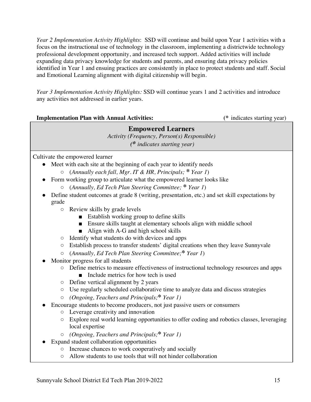*Year 2 Implementation Activity Highlights*: SSD will continue and build upon Year 1 activities with a focus on the instructional use of technology in the classroom, implementing a districtwide technology professional development opportunity, and increased tech support. Added activities will include expanding data privacy knowledge for students and parents, and ensuring data privacy policies identified in Year 1 and ensuing practices are consistently in place to protect students and staff. Social and Emotional Learning alignment with digital citizenship will begin.

*Year 3 Implementation Activity Highlights:* SSD will continue years 1 and 2 activities and introduce any activities not addressed in earlier years.

| <b>Implementation Plan with Annual Activities:</b>                                   | (* indicates starting year) |
|--------------------------------------------------------------------------------------|-----------------------------|
| <b>Empowered Learners</b><br>$Action(s)$ Responsible)<br>(* indicates starting year) |                             |

Cultivate the empowered learner

● Meet with each site at the beginning of each year to identify needs

- (*Annually each fall, Mgr. IT & HR, Principals;* **\*** *Year 1*)
- Form working group to articulate what the empowered learner looks like
	- (*Annually, Ed Tech Plan Steering Committee;* **\*** *Year 1*)
- Define student outcomes at grade 8 (writing, presentation, etc.) and set skill expectations by grade
	- Review skills by grade levels
		- Establish working group to define skills
		- Ensure skills taught at elementary schools align with middle school
		- Align with A-G and high school skills
	- Identify what students do with devices and apps
	- Establish process to transfer students' digital creations when they leave Sunnyvale
	- (*Annually, Ed Tech Plan Steering Committee;***\*** *Year 1*)
- Monitor progress for all students
	- Define metrics to measure effectiveness of instructional technology resources and apps
		- Include metrics for how tech is used
	- Define vertical alignment by 2 years
	- Use regularly scheduled collaborative time to analyze data and discuss strategies
	- *(Ongoing, Teachers and Principals;***\*** *Year 1)*
- Encourage students to become producers, not just passive users or consumers
	- Leverage creativity and innovation
	- Explore real world learning opportunities to offer coding and robotics classes, leveraging local expertise
	- *(Ongoing, Teachers and Principals;***\*** *Year 1)*
- Expand student collaboration opportunities
	- Increase chances to work cooperatively and socially
	- Allow students to use tools that will not hinder collaboration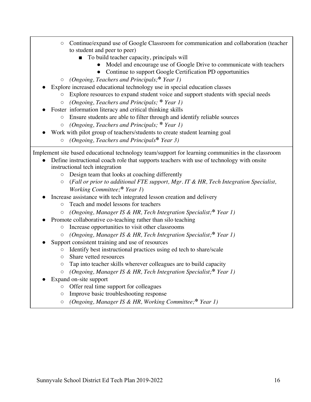- Continue/expand use of Google Classroom for communication and collaboration (teacher to student and peer to peer)
	- To build teacher capacity, principals will
		- Model and encourage use of Google Drive to communicate with teachers
		- Continue to support Google Certification PD opportunities
- *(Ongoing, Teachers and Principals;***\*** *Year 1)*
- Explore increased educational technology use in special education classes
	- Explore resources to expand student voice and support students with special needs
	- *(Ongoing, Teachers and Principals;* **\*** *Year 1)*
- Foster information literacy and critical thinking skills
	- Ensure students are able to filter through and identify reliable sources
	- *(Ongoing, Teachers and Principals;* **\*** *Year 1)*
	- Work with pilot group of teachers/students to create student learning goal
		- *(Ongoing, Teachers and Principals***\*** *Year 3)*

Implement site based educational technology team/support for learning communities in the classroom

- Define instructional coach role that supports teachers with use of technology with onsite instructional tech integration
	- Design team that looks at coaching differently
	- (*Fall or prior to additional FTE support, Mgr. IT & HR, Tech Integration Specialist, Working Committee;***\*** *Year 1*)
- Increase assistance with tech integrated lesson creation and delivery
	- Teach and model lessons for teachers
	- *(Ongoing, Manager IS & HR, Tech Integration Specialist;***\*** *Year 1)*
- Promote collaborative co-teaching rather than silo teaching
	- Increase opportunities to visit other classrooms
	- *(Ongoing, Manager IS & HR, Tech Integration Specialist;***\*** *Year 1)*
- Support consistent training and use of resources
	- Identify best instructional practices using ed tech to share/scale
	- Share vetted resources
	- Tap into teacher skills wherever colleagues are to build capacity
	- *(Ongoing, Manager IS & HR, Tech Integration Specialist;***\*** *Year 1)*
- Expand on-site support
	- Offer real time support for colleagues
	- Improve basic troubleshooting response
	- *(Ongoing, Manager IS & HR, Working Committee;***\*** *Year 1)*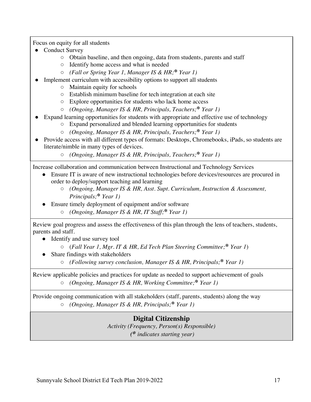Focus on equity for all students

- Conduct Survey
	- Obtain baseline, and then ongoing, data from students, parents and staff
	- Identify home access and what is needed
	- *(Fall or Spring Year 1, Manager IS & HR;***\*** *Year 1)*
- Implement curriculum with accessibility options to support all students
	- Maintain equity for schools
	- Establish minimum baseline for tech integration at each site
	- Explore opportunities for students who lack home access
	- *(Ongoing, Manager IS & HR, Principals, Teachers;***\*** *Year 1)*
- Expand learning opportunities for students with appropriate and effective use of technology
	- Expand personalized and blended learning opportunities for students
	- *(Ongoing, Manager IS & HR, Principals, Teachers;***\*** *Year 1)*
- Provide access with all different types of formats: Desktops, Chromebooks, iPads, so students are literate/nimble in many types of devices.
	- *(Ongoing, Manager IS & HR, Principals, Teachers;***\*** *Year 1)*

Increase collaboration and communication between Instructional and Technology Services

- Ensure IT is aware of new instructional technologies before devices/resources are procured in order to deploy/support teaching and learning
	- *(Ongoing, Manager IS & HR, Asst. Supt. Curriculum, Instruction & Assessment, Principals;***\*** *Year 1)*
- Ensure timely deployment of equipment and/or software
	- *(Ongoing, Manager IS & HR, IT Staff;***\*** *Year 1)*

Review goal progress and assess the effectiveness of this plan through the lens of teachers, students, parents and staff.

• Identify and use survey tool

- (*Fall Year 1, Mgr. IT & HR, Ed Tech Plan Steering Committee;***\*** *Year 1*)
- Share findings with stakeholders
	- *(Following survey conclusion, Manager IS & HR, Principals;***\*** *Year 1)*

Review applicable policies and practices for update as needed to support achievement of goals ○ *(Ongoing, Manager IS & HR, Working Committee;***\*** *Year 1)*

Provide ongoing communication with all stakeholders (staff, parents, students) along the way ○ *(Ongoing, Manager IS & HR, Principals;***\*** *Year 1)*

# **Digital Citizenship** *Activity (Frequency, Person(s) Responsible)*

*(\* indicates starting year)*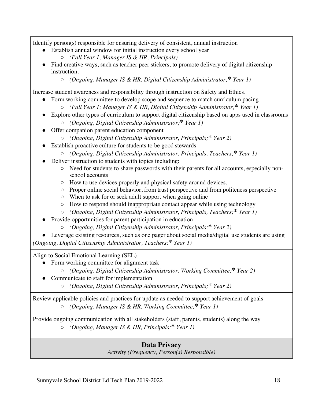Identify person(s) responsible for ensuring delivery of consistent, annual instruction

- Establish annual window for initial instruction every school year
	- *(Fall Year 1, Manager IS & HR, Principals)*
- Find creative ways, such as teacher peer stickers, to promote delivery of digital citizenship instruction.
	- *(Ongoing, Manager IS & HR, Digital Citizenship Administrator;***\*** *Year 1)*

Increase student awareness and responsibility through instruction on Safety and Ethics.

- Form working committee to develop scope and sequence to match curriculum pacing
	- *(Fall Year 1; Manager IS & HR, Digital Citizenship Administrator;***\*** *Year 1)*
- Explore other types of curriculum to support digital citizenship based on apps used in classrooms
	- *(Ongoing, Digital Citizenship Administrator;***\*** *Year 1)*
- Offer companion parent education component
	- *(Ongoing, Digital Citizenship Administrator, Principals;***\*** *Year 2)*
- Establish proactive culture for students to be good stewards
	- *(Ongoing, Digital Citizenship Administrator, Principals, Teachers;***\*** *Year 1)*
- Deliver instruction to students with topics including:
	- Need for students to share passwords with their parents for all accounts, especially nonschool accounts
	- How to use devices properly and physical safety around devices.
	- Proper online social behavior, from trust perspective and from politeness perspective
	- When to ask for or seek adult support when going online
	- How to respond should inappropriate contact appear while using technology
	- *(Ongoing, Digital Citizenship Administrator, Principals, Teachers;***\*** *Year 1)*
- Provide opportunities for parent participation in education
	- *(Ongoing, Digital Citizenship Administrator, Principals;***\*** *Year 2)*
- Leverage existing resources, such as one pager about social media/digital use students are using *(Ongoing, Digital Citizenship Administrator, Teachers;***\*** *Year 1)*

Align to Social Emotional Learning (SEL)

- Form working committee for alignment task
	- *(Ongoing, Digital Citizenship Administrator, Working Committee;***\*** *Year 2)*
- Communicate to staff for implementation
	- *(Ongoing, Digital Citizenship Administrator, Principals;***\*** *Year 2)*

Review applicable policies and practices for update as needed to support achievement of goals ○ *(Ongoing, Manager IS & HR, Working Committee;***\*** *Year 1)*

Provide ongoing communication with all stakeholders (staff, parents, students) along the way ○ *(Ongoing, Manager IS & HR, Principals;***\*** *Year 1)*

### **Data Privacy** *Activity (Frequency, Person(s) Responsible)*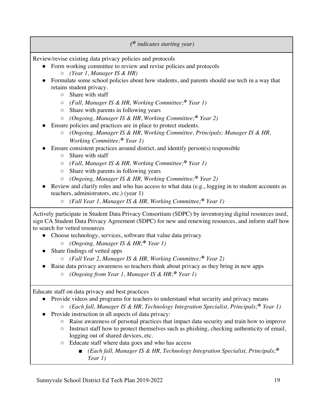*(\* indicates starting year)*

Review/revise existing data privacy policies and protocols

- Form working committee to review and revise policies and protocols ○ *(Year 1, Manager IS & HR)*
- Formulate some school policies about how students, and parents should use tech in a way that retains student privacy.
	- Share with staff
	- *(Fall, Manager IS & HR, Working Committee;***\*** *Year 1)*
	- Share with parents in following years
	- *(Ongoing, Manager IS & HR, Working Committee;***\*** *Year 2)*
- Ensure policies and practices are in place to protect students.
	- *(Ongoing, Manager IS & HR, Working Committee, Principals; Manager IS & HR, Working Committee;***\*** *Year 1)*
- Ensure consistent practices around district, and identify person(s) responsible
	- Share with staff
	- *(Fall, Manager IS & HR, Working Committee;***\*** *Year 1)*
	- Share with parents in following years
	- *(Ongoing, Manager IS & HR, Working Committee;***\*** *Year 2)*
- Review and clarify roles and who has access to what data (e.g., logging in to student accounts as teachers, administrators, etc.) (year 1)
	- *(Fall Year 1, Manager IS & HR, Working Committee;***\*** *Year 1)*

Actively participate in Student Data Privacy Consortium (SDPC) by inventorying digital resources used, sign CA Student Data Privacy Agreement (SDPC) for new and renewing resources, and inform staff how to search for vetted resources

- Choose technology, services, software that value data privacy
	- *(Ongoing, Manager IS & HR;***\*** *Year 1)*
- Share findings of vetted apps
	- *(Fall Year 2, Manager IS & HR, Working Committee;***\*** *Year 2)*
- Raise data privacy awareness so teachers think about privacy as they bring in new apps ○ *(Ongoing from Year 1, Manager IS & HR;***\*** *Year 1)*

Educate staff on data privacy and best practices

- Provide videos and programs for teachers to understand what security and privacy means
	- *(Each fall, Manager IS & HR, Technology Integration Specialist, Principals;***\*** *Year 1)*
- Provide instruction in all aspects of data privacy:
	- Raise awareness of personal practices that impact data security and train how to improve
	- Instruct staff how to protect themselves such as phishing, checking authenticity of email, logging out of shared devices, etc.
	- Educate staff where data goes and who has access
		- *(Each fall, Manager IS & HR, Technology Integration Specialist, Principals;***\*** *Year 1)*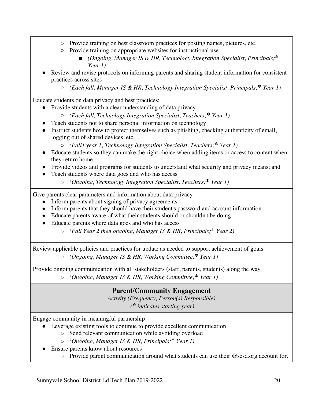- Provide training on best classroom practices for posting names, pictures, etc.
- Provide training on appropriate websites for instructional use
	- *(Ongoing, Manager IS & HR, Technology Integration Specialist, Principals;***\*** *Year 1)*
- Review and revise protocols on informing parents and sharing student information for consistent practices across sites
	- *(Each fall, Manager IS & HR, Technology Integration Specialist, Principals;***\*** *Year 1)*

Educate students on data privacy and best practices:

- Provide students with a clear understanding of data privacy
	- *(Each fall, Technology Integration Specialist, Teachers;***\*** *Year 1)*
- Teach students not to share personal information on technology
- Instruct students how to protect themselves such as phishing, checking authenticity of email, logging out of shared devices, etc.

○ *(Fall1 year 1, Technology Integration Specialist, Teachers;***\*** *Year 1)*

- Educate students so they can make the right choice when adding items or access to content when they return home
- Provide videos and programs for students to understand what security and privacy means; and
- Teach students where data goes and who has access
	- *(Ongoing, Technology Integration Specialist, Teachers;***\*** *Year 1)*

Give parents clear parameters and information about data privacy

- Inform parents about signing of privacy agreements
- Inform parents that they should have their student's password and account information
- Educate parents aware of what their students should or shouldn't be doing
- Educate parents where data goes and who has access
	- *(Fall Year 2 then ongoing, Manager IS & HR, Principals;***\*** *Year 2)*

Review applicable policies and practices for update as needed to support achievement of goals ○ *(Ongoing, Manager IS & HR, Working Committee;***\*** *Year 1)*

Provide ongoing communication with all stakeholders (staff, parents, students) along the way ○ *(Ongoing, Manager IS & HR, Working Committee;***\*** *Year 1)*

### **Parent/Community Engagement**

*Activity (Frequency, Person(s) Responsible)*

*(\* indicates starting year)*

Engage community in meaningful partnership

- Leverage existing tools to continue to provide excellent communication
	- Send relevant communication while avoiding overload
	- *(Ongoing, Manager IS & HR, Principals;***\*** *Year 1)*
- Ensure parents know about resources
	- Provide parent communication around what students can use their @sesd.org account for.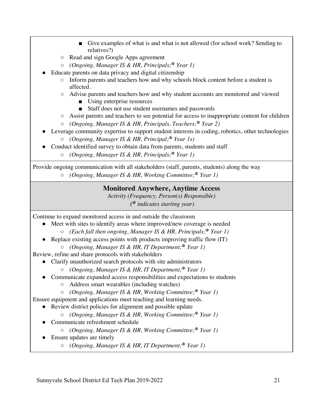- Give examples of what is and what is not allowed (for school work? Sending to relatives?)
- Read and sign Google Apps agreement
- *(Ongoing, Manager IS & HR, Principals;***\*** *Year 1)*
- Educate parents on data privacy and digital citizenship
	- Inform parents and teachers how and why schools block content before a student is affected.
	- Advise parents and teachers how and why student accounts are monitored and viewed
		- Using enterprise resources
		- Staff does not use student usernames and passwords
	- Assist parents and teachers to see potential for access to inappropriate content for children
	- *(Ongoing, Manager IS & HR, Principals, Teachers;***\*** *Year 2)*
- Leverage community expertise to support student interests in coding, robotics, other technologies
	- *(Ongoing, Manager IS & HR, Principal;***\*** *Year 1s)*
- Conduct identified survey to obtain data from parents, students and staff
	- *(Ongoing, Manager IS & HR, Principals;***\*** *Year 1)*

Provide ongoing communication with all stakeholders (staff, parents, students) along the way ○ *(Ongoing, Manager IS & HR, Working Committee;***\*** *Year 1)*

### **Monitored Anywhere, Anytime Access**

*Activity (Frequency, Person(s) Responsible) (\* indicates starting year)*

Continue to expand monitored access in and outside the classroom

- Meet with sites to identify areas where improved/new coverage is needed
	- *(Each fall then ongoing, Manager IS & HR, Principals;***\*** *Year 1)*
- Replace existing access points with products improving traffic flow (IT)
	- *(Ongoing, Manager IS & HR, IT Department;***\*** *Year 1)*

Review, refine and share protocols with stakeholders

- Clarify unauthorized search protocols with site administrators
	- *(Ongoing, Manager IS & HR, IT Department;***\*** *Year 1)*
- Communicate expanded access responsibilities and expectations to students
	- Address smart wearables (including watches)
	- *(Ongoing, Manager IS & HR, Working Committee;***\*** *Year 1)*

Ensure equipment and applications meet teaching and learning needs.

- Review district policies for alignment and possible update
	- *(Ongoing, Manager IS & HR, Working Committee;***\*** *Year 1)*
- Communicate refreshment schedule
	- *(Ongoing, Manager IS & HR, Working Committee;***\*** *Year 1)*
- Ensure updates are timely
	- *(Ongoing, Manager IS & HR, IT Department;***\*** *Year 1)*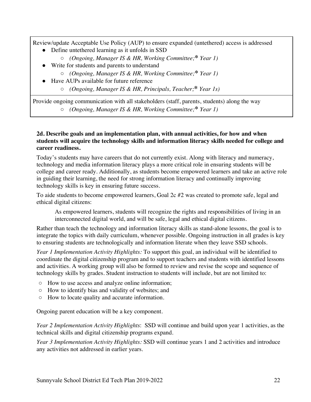Review/update Acceptable Use Policy (AUP) to ensure expanded (untethered) access is addressed

- Define untethered learning as it unfolds in SSD
	- *(Ongoing, Manager IS & HR, Working Committee;***\*** *Year 1)*
- Write for students and parents to understand
	- *(Ongoing, Manager IS & HR, Working Committee;***\*** *Year 1)*
- Have AUPs available for future reference
	- *(Ongoing, Manager IS & HR, Principals, Teacher;***\*** *Year 1s)*

Provide ongoing communication with all stakeholders (staff, parents, students) along the way ○ *(Ongoing, Manager IS & HR, Working Committee;***\*** *Year 1)*

#### **2d. Describe goals and an implementation plan, with annual activities, for how and when students will acquire the technology skills and information literacy skills needed for college and career readiness.**

Today's students may have careers that do not currently exist. Along with literacy and numeracy, technology and media information literacy plays a more critical role in ensuring students will be college and career ready. Additionally, as students become empowered learners and take an active role in guiding their learning, the need for strong information literacy and continually improving technology skills is key in ensuring future success.

To aide students to become empowered learners, Goal 2c #2 was created to promote safe, legal and ethical digital citizens:

As empowered learners, students will recognize the rights and responsibilities of living in an interconnected digital world, and will be safe, legal and ethical digital citizens.

Rather than teach the technology and information literacy skills as stand-alone lessons, the goal is to integrate the topics with daily curriculum, whenever possible. Ongoing instruction in all grades is key to ensuring students are technologically and information literate when they leave SSD schools.

*Year 1 Implementation Activity Highlights:* To support this goal, an individual will be identified to coordinate the digital citizenship program and to support teachers and students with identified lessons and activities. A working group will also be formed to review and revise the scope and sequence of technology skills by grades. Student instruction to students will include, but are not limited to:

- How to use access and analyze online information;
- How to identify bias and validity of websites; and
- How to locate quality and accurate information.

Ongoing parent education will be a key component.

*Year 2 Implementation Activity Highlights*: SSD will continue and build upon year 1 activities, as the technical skills and digital citizenship programs expand.

*Year 3 Implementation Activity Highlights:* SSD will continue years 1 and 2 activities and introduce any activities not addressed in earlier years.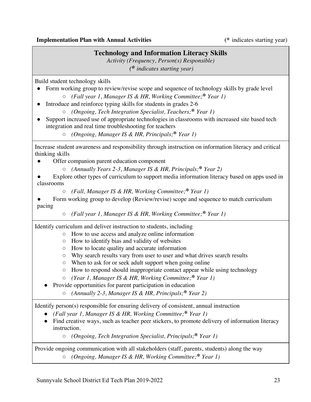### **Technology and Information Literacy Skills**

*Activity (Frequency, Person(s) Responsible) (\* indicates starting year)*

Build student technology skills

- Form working group to review/revise scope and sequence of technology skills by grade level
	- *(Fall year 1, Manager IS & HR, Working Committee;***\*** *Year 1)*
- Introduce and reinforce typing skills for students in grades 2-6
	- *(Ongoing, Tech Integration Specialist, Teachers;***\*** *Year 1)*
- Support increased use of appropriate technologies in classrooms with increased site based tech integration and real time troubleshooting for teachers
	- *(Ongoing, Manager IS & HR, Principals;***\*** *Year 1)*

Increase student awareness and responsibility through instruction on information literacy and critical thinking skills

- Offer companion parent education component
	- *(Annually Years 2-3, Manager IS & HR, Principals;***\*** *Year 2)*
- Explore other types of curriculum to support media information literacy based on apps used in classrooms
	- *(Fall, Manager IS & HR, Working Committee;***\*** *Year 1)*
- Form working group to develop (Review/revise) scope and sequence to match curriculum pacing
	- *(Fall year 1, Manager IS & HR, Working Committee;***\*** *Year 1)*

Identify curriculum and deliver instruction to students, including

- How to use access and analyze online information
- How to identify bias and validity of websites
- How to locate quality and accurate information
- Why search results vary from user to user and what drives search results
- When to ask for or seek adult support when going online
- How to respond should inappropriate contact appear while using technology
- *(Year 1, Manager IS & HR, Working Committee;***\*** *Year 1)*

Provide opportunities for parent participation in education

○ *(Annually 2-3, Manager IS & HR, Principals;***\*** *Year 2)*

Identify person(s) responsible for ensuring delivery of consistent, annual instruction

- *(Fall year 1, Manager IS & HR, Working Committee;***\*** *Year 1)*
- Find creative ways, such as teacher peer stickers, to promote delivery of information literacy instruction.

○ *(Ongoing, Tech Integration Specialist, Principals;***\*** *Year 1)*

#### Provide ongoing communication with all stakeholders (staff, parents, students) along the way ○ *(Ongoing, Manager IS & HR, Working Committee;***\*** *Year 1)*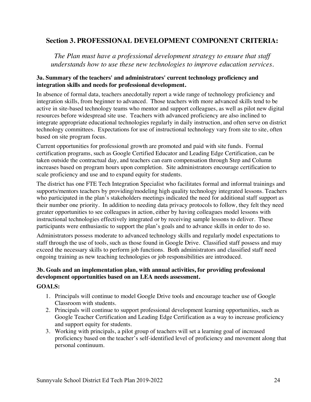### **Section 3. PROFESSIONAL DEVELOPMENT COMPONENT CRITERIA:**

*The Plan must have a professional development strategy to ensure that staff understands how to use these new technologies to improve education services.*

#### **3a. Summary of the teachers' and administrators' current technology proficiency and integration skills and needs for professional development.**

In absence of formal data, teachers anecdotally report a wide range of technology proficiency and integration skills, from beginner to advanced. Those teachers with more advanced skills tend to be active in site-based technology teams who mentor and support colleagues, as well as pilot new digital resources before widespread site use. Teachers with advanced proficiency are also inclined to integrate appropriate educational technologies regularly in daily instruction, and often serve on district technology committees. Expectations for use of instructional technology vary from site to site, often based on site program focus.

Current opportunities for professional growth are promoted and paid with site funds. Formal certification programs, such as Google Certified Educator and Leading Edge Certification, can be taken outside the contractual day, and teachers can earn compensation through Step and Column increases based on program hours upon completion. Site administrators encourage certification to scale proficiency and use and to expand equity for students.

The district has one FTE Tech Integration Specialist who facilitates formal and informal trainings and supports/mentors teachers by providing/modeling high quality technology integrated lessons. Teachers who participated in the plan's stakeholders meetings indicated the need for additional staff support as their number one priority. In addition to needing data privacy protocols to follow, they felt they need greater opportunities to see colleagues in action, either by having colleagues model lessons with instructional technologies effectively integrated or by receiving sample lessons to deliver. These participants were enthusiastic to support the plan's goals and to advance skills in order to do so.

Administrators possess moderate to advanced technology skills and regularly model expectations to staff through the use of tools, such as those found in Google Drive. Classified staff possess and may exceed the necessary skills to perform job functions. Both administrators and classified staff need ongoing training as new teaching technologies or job responsibilities are introduced.

#### **3b. Goals and an implementation plan, with annual activities, for providing professional development opportunities based on an LEA needs assessment.**

#### **GOALS:**

- 1. Principals will continue to model Google Drive tools and encourage teacher use of Google Classroom with students.
- 2. Principals will continue to support professional development learning opportunities, such as Google Teacher Certification and Leading Edge Certification as a way to increase proficiency and support equity for students.
- 3. Working with principals, a pilot group of teachers will set a learning goal of increased proficiency based on the teacher's self-identified level of proficiency and movement along that personal continuum.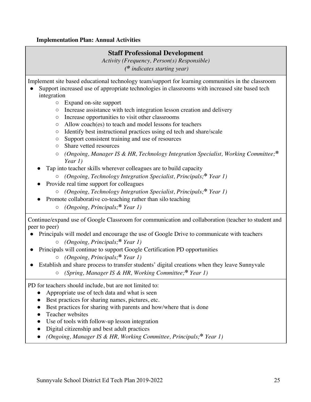#### **Implementation Plan: Annual Activities**

### **Staff Professional Development**

*Activity (Frequency, Person(s) Responsible) (\* indicates starting year)*

Implement site based educational technology team/support for learning communities in the classroom

- Support increased use of appropriate technologies in classrooms with increased site based tech integration
	- Expand on-site support
	- Increase assistance with tech integration lesson creation and delivery
	- Increase opportunities to visit other classrooms
	- Allow coach(es) to teach and model lessons for teachers
	- Identify best instructional practices using ed tech and share/scale
	- Support consistent training and use of resources
	- Share vetted resources
	- *(Ongoing, Manager IS & HR, Technology Integration Specialist, Working Committee;***\*** *Year 1)*
	- Tap into teacher skills wherever colleagues are to build capacity
		- *(Ongoing, Technology Integration Specialist, Principals;***\*** *Year 1)*
	- Provide real time support for colleagues
		- *(Ongoing, Technology Integration Specialist, Principals;***\*** *Year 1)*
		- Promote collaborative co-teaching rather than silo teaching
			- *(Ongoing, Principals;***\*** *Year 1)*

Continue/expand use of Google Classroom for communication and collaboration (teacher to student and peer to peer)

- Principals will model and encourage the use of Google Drive to communicate with teachers ○ *(Ongoing, Principals;***\*** *Year 1)*
- Principals will continue to support Google Certification PD opportunities
	- *(Ongoing, Principals;***\*** *Year 1)*
- Establish and share process to transfer students' digital creations when they leave Sunnyvale
	- *(Spring, Manager IS & HR, Working Committee;***\*** *Year 1)*

PD for teachers should include, but are not limited to:

- Appropriate use of tech data and what is seen
- Best practices for sharing names, pictures, etc.
- Best practices for sharing with parents and how/where that is done
- Teacher websites
- Use of tools with follow-up lesson integration
- Digital citizenship and best adult practices
- *(Ongoing, Manager IS & HR, Working Committee, Principals;***\*** *Year 1)*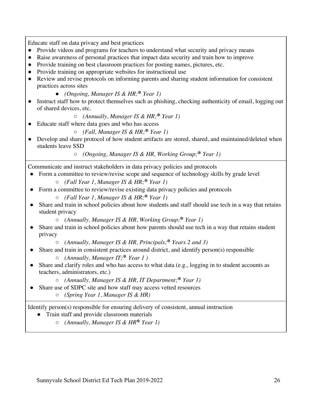Educate staff on data privacy and best practices

- Provide videos and programs for teachers to understand what security and privacy means
- Raise awareness of personal practices that impact data security and train how to improve
- Provide training on best classroom practices for posting names, pictures, etc.
- Provide training on appropriate websites for instructional use
- Review and revise protocols on informing parents and sharing student information for consistent practices across sites
	- *(Ongoing, Manager IS & HR;***\*** *Year 1)*
- Instruct staff how to protect themselves such as phishing, checking authenticity of email, logging out of shared devices, etc.
	- *(Annually, Manager IS & HR;***\*** *Year 1)*
	- Educate staff where data goes and who has access
		- *(Fall, Manager IS & HR;***\*** *Year 1)*
- Develop and share protocol of how student artifacts are stored, shared, and maintained/deleted when students leave SSD

○ *(Ongoing, Manager IS & HR, Working Group;***\*** *Year 1)*

- Communicate and instruct stakeholders in data privacy policies and protocols
- Form a committee to review/revise scope and sequence of technology skills by grade level
	- *(Fall Year 1, Manager IS & HR;***\*** *Year 1)*
- Form a committee to review/revise existing data privacy policies and protocols
	- *(Fall Year 1, Manager IS & HR;***\*** *Year 1)*
- Share and train in school policies about how students and staff should use tech in a way that retains student privacy
	- *(Annually, Manager IS & HR, Working Group;***\*** *Year 1)*
- Share and train in school policies about how parents should use tech in a way that retains student privacy
	- *(Annually, Manager IS & HR, Principals;***\*** *Years 2 and 3)*
- Share and train in consistent practices around district, and identify person(s) responsible ○ *(Annually, Manager IT;***\*** *Year 1 )*
- Share and clarify roles and who has access to what data (e.g., logging in to student accounts as teachers, administrators, etc.)
	- *(Annually, Manager IS & HR, IT Department;***\*** *Year 1)*
- Share use of SDPC site and how staff may access vetted resources
	- *(Spring Year 1, Manager IS & HR)*

Identify person(s) responsible for ensuring delivery of consistent, annual instruction

- Train staff and provide classroom materials
	- *(Annually, Manager IS & HR***\*** *Year 1)*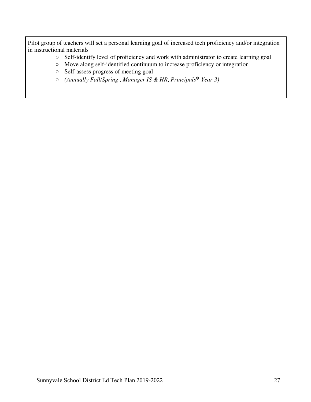Pilot group of teachers will set a personal learning goal of increased tech proficiency and/or integration in instructional materials

- Self-identify level of proficiency and work with administrator to create learning goal
- Move along self-identified continuum to increase proficiency or integration
- Self-assess progress of meeting goal
- *(Annually Fall/Spring , Manager IS & HR, Principals***\*** *Year 3)*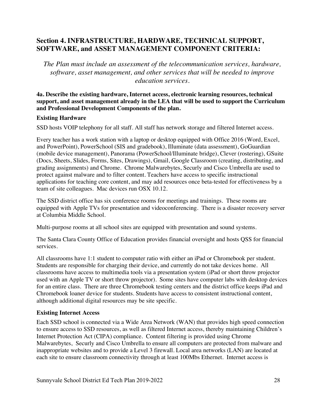### **Section 4. INFRASTRUCTURE, HARDWARE, TECHNICAL SUPPORT, SOFTWARE, and ASSET MANAGEMENT COMPONENT CRITERIA:**

*The Plan must include an assessment of the telecommunication services, hardware, software, asset management, and other services that will be needed to improve education services.*

**4a. Describe the existing hardware, Internet access, electronic learning resources, technical support, and asset management already in the LEA that will be used to support the Curriculum and Professional Development Components of the plan.**

#### **Existing Hardware**

SSD hosts VOIP telephony for all staff. All staff has network storage and filtered Internet access.

Every teacher has a work station with a laptop or desktop equipped with Office 2016 (Word, Excel, and PowerPoint), PowerSchool (SIS and gradebook), Illuminate (data assessment), GoGuardian (mobile device management), Panorama (PowerSchool/Illuminate bridge), Clever (rostering), GSuite (Docs, Sheets, Slides, Forms, Sites, Drawings), Gmail, Google Classroom (creating, distributing, and grading assignments) and Chrome. Chrome Malwarebytes, Securly and Cisco Umbrella are used to protect against malware and to filter content. Teachers have access to specific instructional applications for teaching core content, and may add resources once beta-tested for effectiveness by a team of site colleagues. Mac devices run OSX 10.12.

The SSD district office has six conference rooms for meetings and trainings. These rooms are equipped with Apple TVs for presentation and videoconferencing. There is a disaster recovery server at Columbia Middle School.

Multi-purpose rooms at all school sites are equipped with presentation and sound systems.

The Santa Clara County Office of Education provides financial oversight and hosts QSS for financial services.

All classrooms have 1:1 student to computer ratio with either an iPad or Chromebook per student. Students are responsible for charging their device, and currently do not take devices home. All classrooms have access to multimedia tools via a presentation system (iPad or short throw projector used with an Apple TV or short throw projector). Some sites have computer labs with desktop devices for an entire class. There are three Chromebook testing centers and the district office keeps iPad and Chromebook loaner device for students. Students have access to consistent instructional content, although additional digital resources may be site specific.

### **Existing Internet Access**

Each SSD school is connected via a Wide Area Network (WAN) that provides high speed connection to ensure access to SSD resources, as well as filtered Internet access, thereby maintaining Children's Internet Protection Act (CIPA) compliance. Content filtering is provided using Chrome Malwarebytes, Securly and Cisco Umbrella to ensure all computers are protected from malware and inappropriate websites and to provide a Level 3 firewall. Local area networks (LAN) are located at each site to ensure classroom connectivity through at least 100Mbs Ethernet. Internet access is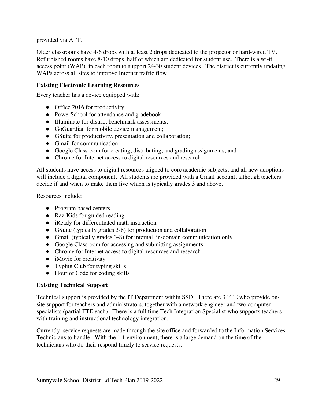provided via ATT.

Older classrooms have 4-6 drops with at least 2 drops dedicated to the projector or hard-wired TV. Refurbished rooms have 8-10 drops, half of which are dedicated for student use. There is a wi-fi access point (WAP) in each room to support 24-30 student devices. The district is currently updating WAPs across all sites to improve Internet traffic flow.

#### **Existing Electronic Learning Resources**

Every teacher has a device equipped with:

- Office 2016 for productivity;
- PowerSchool for attendance and gradebook;
- Illuminate for district benchmark assessments:
- GoGuardian for mobile device management;
- GSuite for productivity, presentation and collaboration;
- Gmail for communication:
- Google Classroom for creating, distributing, and grading assignments; and
- Chrome for Internet access to digital resources and research

All students have access to digital resources aligned to core academic subjects, and all new adoptions will include a digital component. All students are provided with a Gmail account, although teachers decide if and when to make them live which is typically grades 3 and above.

Resources include:

- Program based centers
- Raz-Kids for guided reading
- iReady for differentiated math instruction
- GSuite (typically grades 3-8) for production and collaboration
- Gmail (typically grades 3-8) for internal, in-domain communication only
- Google Classroom for accessing and submitting assignments
- Chrome for Internet access to digital resources and research
- iMovie for creativity
- Typing Club for typing skills
- Hour of Code for coding skills

#### **Existing Technical Support**

Technical support is provided by the IT Department within SSD. There are 3 FTE who provide onsite support for teachers and administrators, together with a network engineer and two computer specialists (partial FTE each). There is a full time Tech Integration Specialist who supports teachers with training and instructional technology integration.

Currently, service requests are made through the site office and forwarded to the Information Services Technicians to handle. With the 1:1 environment, there is a large demand on the time of the technicians who do their respond timely to service requests.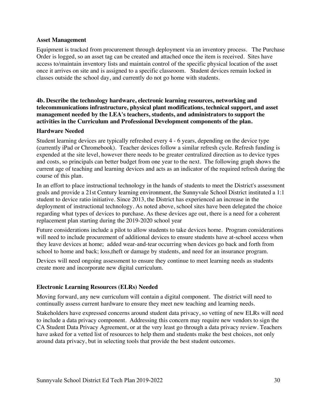#### **Asset Management**

Equipment is tracked from procurement through deployment via an inventory process. The Purchase Order is logged, so an asset tag can be created and attached once the item is received. Sites have access to/maintain inventory lists and maintain control of the specific physical location of the asset once it arrives on site and is assigned to a specific classroom. Student devices remain locked in classes outside the school day, and currently do not go home with students.

#### **4b. Describe the technology hardware, electronic learning resources, networking and telecommunications infrastructure, physical plant modifications, technical support, and asset management needed by the LEA's teachers, students, and administrators to support the activities in the Curriculum and Professional Development components of the plan.**

#### **Hardware Needed**

Student learning devices are typically refreshed every 4 - 6 years, depending on the device type (currently iPad or Chromebook). Teacher devices follow a similar refresh cycle. Refresh funding is expended at the site level, however there needs to be greater centralized direction as to device types and costs, so principals can better budget from one year to the next. The following graph shows the current age of teaching and learning devices and acts as an indicator of the required refresh during the course of this plan.

In an effort to place instructional technology in the hands of students to meet the District's assessment goals and provide a 21st Century learning environment, the Sunnyvale School District instituted a 1:1 student to device ratio initiative. Since 2013, the District has experienced an increase in the deployment of instructional technology. As noted above, school sites have been delegated the choice regarding what types of devices to purchase. As these devices age out, there is a need for a coherent replacement plan starting during the 2019-2020 school year

Future considerations include a pilot to allow students to take devices home. Program considerations will need to include procurement of additional devices to ensure students have at-school access when they leave devices at home; added wear-and-tear occurring when devices go back and forth from school to home and back; loss,theft or damage by students, and need for an insurance program.

Devices will need ongoing assessment to ensure they continue to meet learning needs as students create more and incorporate new digital curriculum.

#### **Electronic Learning Resources (ELRs) Needed**

Moving forward, any new curriculum will contain a digital component. The district will need to continually assess current hardware to ensure they meet new teaching and learning needs.

Stakeholders have expressed concerns around student data privacy, so vetting of new ELRs will need to include a data privacy component. Addressing this concern may require new vendors to sign the CA Student Data Privacy Agreement, or at the very least go through a data privacy review. Teachers have asked for a vetted list of resources to help them and students make the best choices, not only around data privacy, but in selecting tools that provide the best student outcomes.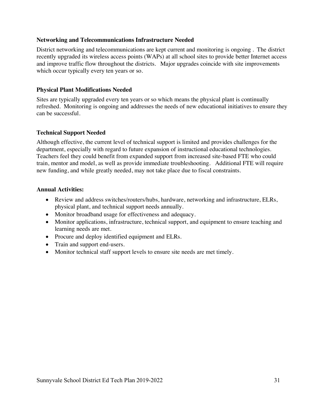#### **Networking and Telecommunications Infrastructure Needed**

District networking and telecommunications are kept current and monitoring is ongoing . The district recently upgraded its wireless access points (WAPs) at all school sites to provide better Internet access and improve traffic flow throughout the districts. Major upgrades coincide with site improvements which occur typically every ten years or so.

#### **Physical Plant Modifications Needed**

Sites are typically upgraded every ten years or so which means the physical plant is continually refreshed. Monitoring is ongoing and addresses the needs of new educational initiatives to ensure they can be successful.

#### **Technical Support Needed**

Although effective, the current level of technical support is limited and provides challenges for the department, especially with regard to future expansion of instructional educational technologies. Teachers feel they could benefit from expanded support from increased site-based FTE who could train, mentor and model, as well as provide immediate troubleshooting. Additional FTE will require new funding, and while greatly needed, may not take place due to fiscal constraints.

#### **Annual Activities:**

- Review and address switches/routers/hubs, hardware, networking and infrastructure, ELRs, physical plant, and technical support needs annually.
- Monitor broadband usage for effectiveness and adequacy.
- Monitor applications, infrastructure, technical support, and equipment to ensure teaching and learning needs are met.
- Procure and deploy identified equipment and ELRs.
- Train and support end-users.
- Monitor technical staff support levels to ensure site needs are met timely.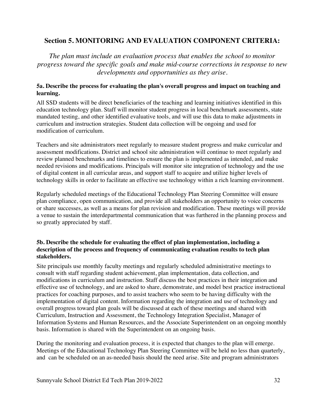### **Section 5. MONITORING AND EVALUATION COMPONENT CRITERIA:**

*The plan must include an evaluation process that enables the school to monitor progress toward the specific goals and make mid-course corrections in response to new developments and opportunities as they arise.*

#### **5a. Describe the process for evaluating the plan's overall progress and impact on teaching and learning.**

All SSD students will be direct beneficiaries of the teaching and learning initiatives identified in this education technology plan. Staff will monitor student progress in local benchmark assessments, state mandated testing, and other identified evaluative tools, and will use this data to make adjustments in curriculum and instruction strategies. Student data collection will be ongoing and used for modification of curriculum.

Teachers and site administrators meet regularly to measure student progress and make curricular and assessment modifications. District and school site administration will continue to meet regularly and review planned benchmarks and timelines to ensure the plan is implemented as intended, and make needed revisions and modifications. Principals will monitor site integration of technology and the use of digital content in all curricular areas, and support staff to acquire and utilize higher levels of technology skills in order to facilitate an effective use technology within a rich learning environment.

Regularly scheduled meetings of the Educational Technology Plan Steering Committee will ensure plan compliance, open communication, and provide all stakeholders an opportunity to voice concerns or share successes, as well as a means for plan revision and modification. These meetings will provide a venue to sustain the interdepartmental communication that was furthered in the planning process and so greatly appreciated by staff.

#### **5b. Describe the schedule for evaluating the effect of plan implementation, including a description of the process and frequency of communicating evaluation results to tech plan stakeholders.**

Site principals use monthly faculty meetings and regularly scheduled administrative meetings to consult with staff regarding student achievement, plan implementation, data collection, and modifications in curriculum and instruction. Staff discuss the best practices in their integration and effective use of technology, and are asked to share, demonstrate, and model best practice instructional practices for coaching purposes, and to assist teachers who seem to be having difficulty with the implementation of digital content. Information regarding the integration and use of technology and overall progress toward plan goals will be discussed at each of these meetings and shared with Curriculum, Instruction and Assessment, the Technology Integration Specialist, Manager of Information Systems and Human Resources, and the Associate Superintendent on an ongoing monthly basis. Information is shared with the Superintendent on an ongoing basis.

During the monitoring and evaluation process, it is expected that changes to the plan will emerge. Meetings of the Educational Technology Plan Steering Committee will be held no less than quarterly, and can be scheduled on an as-needed basis should the need arise. Site and program administrators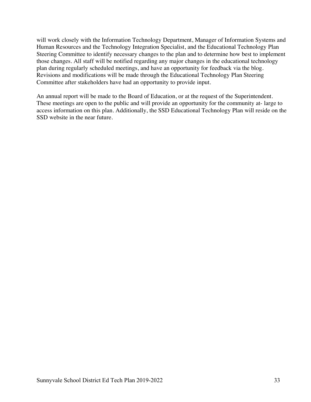will work closely with the Information Technology Department, Manager of Information Systems and Human Resources and the Technology Integration Specialist, and the Educational Technology Plan Steering Committee to identify necessary changes to the plan and to determine how best to implement those changes. All staff will be notified regarding any major changes in the educational technology plan during regularly scheduled meetings, and have an opportunity for feedback via the blog. Revisions and modifications will be made through the Educational Technology Plan Steering Committee after stakeholders have had an opportunity to provide input.

An annual report will be made to the Board of Education, or at the request of the Superintendent. These meetings are open to the public and will provide an opportunity for the community at- large to access information on this plan. Additionally, the SSD Educational Technology Plan will reside on the SSD website in the near future.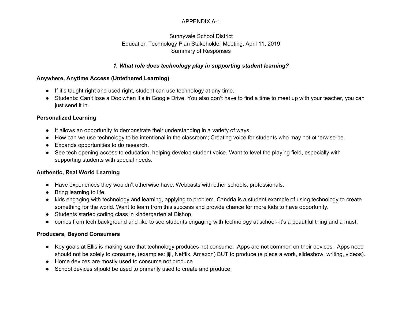#### APPENDIX A-1

#### Sunnyvale School District Education Technology Plan Stakeholder Meeting, April 11, 2019 Summary of Responses

#### *1. What role does technology play in supporting student learning?*

#### **Anywhere, Anytime Access (Untethered Learning)**

- If it's taught right and used right, student can use technology at any time.
- Students: Can't lose a Doc when it's in Google Drive. You also don't have to find a time to meet up with your teacher, you can just send it in.

#### **Personalized Learning**

- It allows an opportunity to demonstrate their understanding in a variety of ways.
- How can we use technology to be intentional in the classroom; Creating voice for students who may not otherwise be.
- Expands opportunities to do research.
- See tech opening access to education, helping develop student voice. Want to level the playing field, especially with supporting students with special needs.

#### **Authentic, Real World Learning**

- Have experiences they wouldn't otherwise have. Webcasts with other schools, professionals.
- Bring learning to life.
- kids engaging with technology and learning, applying to problem. Candria is a student example of using technology to create something for the world. Want to learn from this success and provide chance for more kids to have opportunity.
- Students started coding class in kindergarten at Bishop.
- comes from tech background and like to see students engaging with technology at school--it's a beautiful thing and a must.

#### **Producers, Beyond Consumers**

- Key goals at Ellis is making sure that technology produces not consume. Apps are not common on their devices. Apps need should not be solely to consume, (examples: jiji, Netflix, Amazon) BUT to produce (a piece a work, slideshow, writing, videos).
- Home devices are mostly used to consume not produce.
- School devices should be used to primarily used to create and produce.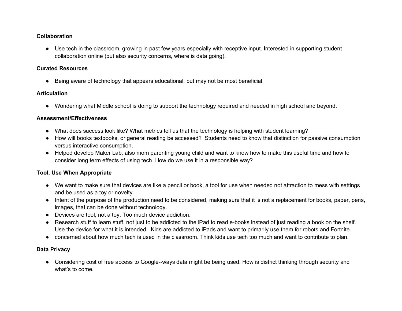#### **Collaboration**

● Use tech in the classroom, growing in past few years especially with receptive input. Interested in supporting student collaboration online (but also security concerns, where is data going).

#### **Curated Resources**

● Being aware of technology that appears educational, but may not be most beneficial.

#### **Articulation**

● Wondering what Middle school is doing to support the technology required and needed in high school and beyond.

#### **Assessment/Effectiveness**

- What does success look like? What metrics tell us that the technology is helping with student learning?
- How will books textbooks, or general reading be accessed? Students need to know that distinction for passive consumption versus interactive consumption.
- Helped develop Maker Lab, also mom parenting young child and want to know how to make this useful time and how to consider long term effects of using tech. How do we use it in a responsible way?

#### **Tool, Use When Appropriate**

- We want to make sure that devices are like a pencil or book, a tool for use when needed not attraction to mess with settings and be used as a toy or novelty.
- Intent of the purpose of the production need to be considered, making sure that it is not a replacement for books, paper, pens, images, that can be done without technology.
- Devices are tool, not a toy. Too much device addiction.
- Research stuff to learn stuff, not just to be addicted to the iPad to read e-books instead of just reading a book on the shelf. Use the device for what it is intended. Kids are addicted to iPads and want to primarily use them for robots and Fortnite.
- concerned about how much tech is used in the classroom. Think kids use tech too much and want to contribute to plan.

#### **Data Privacy**

• Considering cost of free access to Google--ways data might be being used. How is district thinking through security and what's to come.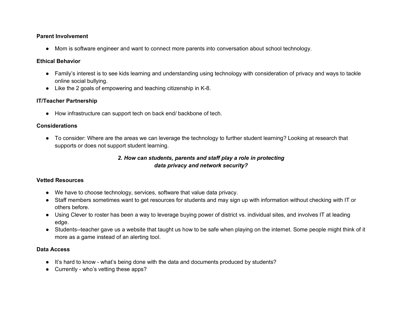#### **Parent Involvement**

● Mom is software engineer and want to connect more parents into conversation about school technology.

#### **Ethical Behavior**

- Family's interest is to see kids learning and understanding using technology with consideration of privacy and ways to tackle online social bullying.
- Like the 2 goals of empowering and teaching citizenship in K-8.

#### **IT/Teacher Partnership**

● How infrastructure can support tech on back end/ backbone of tech.

#### **Considerations**

● To consider: Where are the areas we can leverage the technology to further student learning? Looking at research that supports or does not support student learning.

#### *2. How can students, parents and staff play a role in protecting data privacy and network security?*

#### **Vetted Resources**

- We have to choose technology, services, software that value data privacy.
- Staff members sometimes want to get resources for students and may sign up with information without checking with IT or others before.
- Using Clever to roster has been a way to leverage buying power of district vs. individual sites, and involves IT at leading edge.
- Students--teacher gave us a website that taught us how to be safe when playing on the internet. Some people might think of it more as a game instead of an alerting tool.

#### **Data Access**

- It's hard to know what's being done with the data and documents produced by students?
- Currently who's vetting these apps?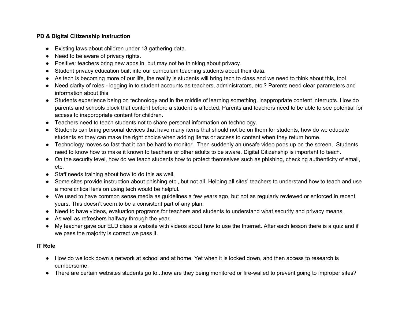#### **PD & Digital Citizenship Instruction**

- Existing laws about children under 13 gathering data.
- Need to be aware of privacy rights.
- Positive: teachers bring new apps in, but may not be thinking about privacy.
- Student privacy education built into our curriculum teaching students about their data.
- As tech is becoming more of our life, the reality is students will bring tech to class and we need to think about this, tool.
- Need clarity of roles logging in to student accounts as teachers, administrators, etc.? Parents need clear parameters and information about this.
- Students experience being on technology and in the middle of learning something, inappropriate content interrupts. How do parents and schools block that content before a student is affected. Parents and teachers need to be able to see potential for access to inappropriate content for children.
- Teachers need to teach students not to share personal information on technology.
- Students can bring personal devices that have many items that should not be on them for students, how do we educate students so they can make the right choice when adding items or access to content when they return home.
- Technology moves so fast that it can be hard to monitor. Then suddenly an unsafe video pops up on the screen. Students need to know how to make it known to teachers or other adults to be aware. Digital Citizenship is important to teach.
- On the security level, how do we teach students how to protect themselves such as phishing, checking authenticity of email, etc.
- Staff needs training about how to do this as well.
- Some sites provide instruction about phishing etc., but not all. Helping all sites' teachers to understand how to teach and use a more critical lens on using tech would be helpful.
- We used to have common sense media as guidelines a few years ago, but not as regularly reviewed or enforced in recent years. This doesn't seem to be a consistent part of any plan.
- Need to have videos, evaluation programs for teachers and students to understand what security and privacy means.
- As well as refreshers halfway through the year.
- My teacher gave our ELD class a website with videos about how to use the Internet. After each lesson there is a quiz and if we pass the majority is correct we pass it.

#### **IT Role**

- How do we lock down a network at school and at home. Yet when it is locked down, and then access to research is cumbersome.
- There are certain websites students go to...how are they being monitored or fire-walled to prevent going to improper sites?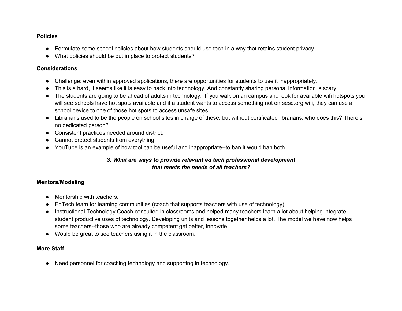#### **Policies**

- Formulate some school policies about how students should use tech in a way that retains student privacy.
- What policies should be put in place to protect students?

#### **Considerations**

- Challenge: even within approved applications, there are opportunities for students to use it inappropriately.
- This is a hard, it seems like it is easy to hack into technology. And constantly sharing personal information is scary.
- The students are going to be ahead of adults in technology. If you walk on an campus and look for available wifi hotspots you will see schools have hot spots available and if a student wants to access something not on sesd.org wifi, they can use a school device to one of those hot spots to access unsafe sites.
- Librarians used to be the people on school sites in charge of these, but without certificated librarians, who does this? There's no dedicated person?
- Consistent practices needed around district.
- Cannot protect students from everything.
- YouTube is an example of how tool can be useful and inappropriate--to ban it would ban both.

#### *3. What are ways to provide relevant ed tech professional development that meets the needs of all teachers?*

#### **Mentors/Modeling**

- Mentorship with teachers.
- EdTech team for learning communities (coach that supports teachers with use of technology).
- Instructional Technology Coach consulted in classrooms and helped many teachers learn a lot about helping integrate student productive uses of technology. Developing units and lessons together helps a lot. The model we have now helps some teachers--those who are already competent get better, innovate.
- Would be great to see teachers using it in the classroom.

#### **More Staff**

● Need personnel for coaching technology and supporting in technology.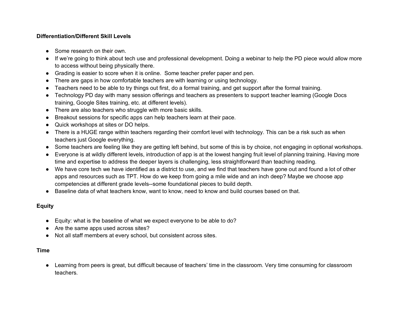#### **Differentiation/Different Skill Levels**

- Some research on their own.
- If we're going to think about tech use and professional development. Doing a webinar to help the PD piece would allow more to access without being physically there.
- Grading is easier to score when it is online. Some teacher prefer paper and pen.
- There are gaps in how comfortable teachers are with learning or using technology.
- Teachers need to be able to try things out first, do a formal training, and get support after the formal training.
- Technology PD day with many session offerings and teachers as presenters to support teacher learning (Google Docs training, Google Sites training, etc. at different levels).
- There are also teachers who struggle with more basic skills.
- Breakout sessions for specific apps can help teachers learn at their pace.
- Quick workshops at sites or DO helps.
- There is a HUGE range within teachers regarding their comfort level with technology. This can be a risk such as when teachers just Google everything.
- Some teachers are feeling like they are getting left behind, but some of this is by choice, not engaging in optional workshops.
- Everyone is at wildly different levels, introduction of app is at the lowest hanging fruit level of planning training. Having more time and expertise to address the deeper layers is challenging, less straightforward than teaching reading.
- We have core tech we have identified as a district to use, and we find that teachers have gone out and found a lot of other apps and resources such as TPT. How do we keep from going a mile wide and an inch deep? Maybe we choose app competencies at different grade levels--some foundational pieces to build depth.
- Baseline data of what teachers know, want to know, need to know and build courses based on that.

#### **Equity**

- Equity: what is the baseline of what we expect everyone to be able to do?
- Are the same apps used across sites?
- Not all staff members at every school, but consistent across sites.

#### **Time**

● Learning from peers is great, but difficult because of teachers' time in the classroom. Very time consuming for classroom teachers.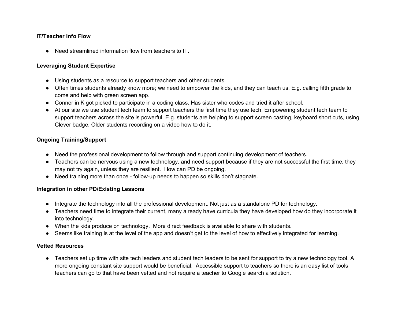#### **IT/Teacher Info Flow**

● Need streamlined information flow from teachers to IT.

#### **Leveraging Student Expertise**

- Using students as a resource to support teachers and other students.
- Often times students already know more; we need to empower the kids, and they can teach us. E.g. calling fifth grade to come and help with green screen app.
- Conner in K got picked to participate in a coding class. Has sister who codes and tried it after school.
- At our site we use student tech team to support teachers the first time they use tech. Empowering student tech team to support teachers across the site is powerful. E.g. students are helping to support screen casting, keyboard short cuts, using Clever badge. Older students recording on a video how to do it.

#### **Ongoing Training/Support**

- Need the professional development to follow through and support continuing development of teachers.
- Teachers can be nervous using a new technology, and need support because if they are not successful the first time, they may not try again, unless they are resilient. How can PD be ongoing.
- Need training more than once follow-up needs to happen so skills don't stagnate.

#### **Integration in other PD/Existing Lessons**

- Integrate the technology into all the professional development. Not just as a standalone PD for technology.
- Teachers need time to integrate their current, many already have curricula they have developed how do they incorporate it into technology.
- When the kids produce on technology. More direct feedback is available to share with students.
- Seems like training is at the level of the app and doesn't get to the level of how to effectively integrated for learning.

#### **Vetted Resources**

● Teachers set up time with site tech leaders and student tech leaders to be sent for support to try a new technology tool. A more ongoing constant site support would be beneficial. Accessible support to teachers so there is an easy list of tools teachers can go to that have been vetted and not require a teacher to Google search a solution.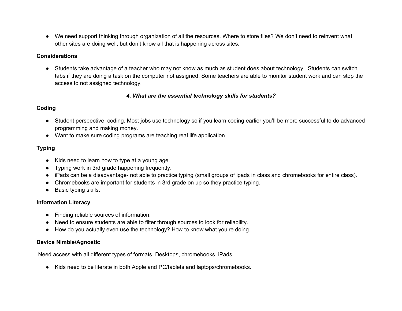● We need support thinking through organization of all the resources. Where to store files? We don't need to reinvent what other sites are doing well, but don't know all that is happening across sites.

#### **Considerations**

● Students take advantage of a teacher who may not know as much as student does about technology. Students can switch tabs if they are doing a task on the computer not assigned. Some teachers are able to monitor student work and can stop the access to not assigned technology.

#### *4. What are the essential technology skills for students?*

#### **Coding**

- Student perspective: coding. Most jobs use technology so if you learn coding earlier you'll be more successful to do advanced programming and making money.
- Want to make sure coding programs are teaching real life application.

#### **Typing**

- Kids need to learn how to type at a young age.
- Typing work in 3rd grade happening frequently.
- iPads can be a disadvantage- not able to practice typing (small groups of ipads in class and chromebooks for entire class).
- Chromebooks are important for students in 3rd grade on up so they practice typing.
- Basic typing skills.

#### **Information Literacy**

- Finding reliable sources of information.
- Need to ensure students are able to filter through sources to look for reliability.
- How do you actually even use the technology? How to know what you're doing.

#### **Device Nimble/Agnostic**

Need access with all different types of formats. Desktops, chromebooks, iPads.

● Kids need to be literate in both Apple and PC/tablets and laptops/chromebooks.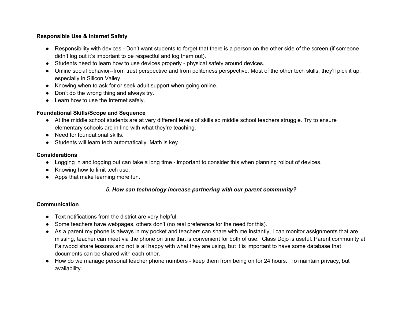#### **Responsible Use & Internet Safety**

- Responsibility with devices Don't want students to forget that there is a person on the other side of the screen (if someone didn't log out it's important to be respectful and log them out).
- Students need to learn how to use devices properly physical safety around devices.
- Online social behavior--from trust perspective and from politeness perspective. Most of the other tech skills, they'll pick it up, especially in Silicon Valley.
- Knowing when to ask for or seek adult support when going online.
- Don't do the wrong thing and always try.
- Learn how to use the Internet safely.

#### **Foundational Skills/Scope and Sequence**

- At the middle school students are at very different levels of skills so middle school teachers struggle. Try to ensure elementary schools are in line with what they're teaching.
- Need for foundational skills.
- Students will learn tech automatically. Math is key.

#### **Considerations**

- Logging in and logging out can take a long time important to consider this when planning rollout of devices.
- Knowing how to limit tech use.
- Apps that make learning more fun.

#### *5. How can technology increase partnering with our parent community?*

#### **Communication**

- Text notifications from the district are very helpful.
- Some teachers have webpages, others don't (no real preference for the need for this).
- As a parent my phone is always in my pocket and teachers can share with me instantly, I can monitor assignments that are missing, teacher can meet via the phone on time that is convenient for both of use. Class Dojo is useful. Parent community at Fairwood share lessons and not is all happy with what they are using, but it is important to have some database that documents can be shared with each other.
- How do we manage personal teacher phone numbers keep them from being on for 24 hours. To maintain privacy, but availability.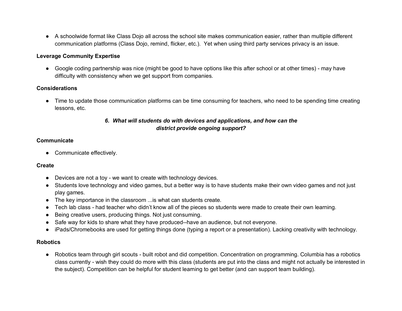● A schoolwide format like Class Dojo all across the school site makes communication easier, rather than multiple different communication platforms (Class Dojo, remind, flicker, etc.). Yet when using third party services privacy is an issue.

#### **Leverage Community Expertise**

● Google coding partnership was nice (might be good to have options like this after school or at other times) - may have difficulty with consistency when we get support from companies.

#### **Considerations**

● Time to update those communication platforms can be time consuming for teachers, who need to be spending time creating lessons, etc.

#### *6. What will students do with devices and applications, and how can the district provide ongoing support?*

#### **Communicate**

• Communicate effectively.

#### **Create**

- Devices are not a toy we want to create with technology devices.
- Students love technology and video games, but a better way is to have students make their own video games and not just play games.
- The key importance in the classroom ...is what can students create.
- Tech lab class had teacher who didn't know all of the pieces so students were made to create their own learning.
- Being creative users, producing things. Not just consuming.
- Safe way for kids to share what they have produced--have an audience, but not everyone.
- iPads/Chromebooks are used for getting things done (typing a report or a presentation). Lacking creativity with technology.

#### **Robotics**

● Robotics team through girl scouts - built robot and did competition. Concentration on programming. Columbia has a robotics class currently - wish they could do more with this class (students are put into the class and might not actually be interested in the subject). Competition can be helpful for student learning to get better (and can support team building).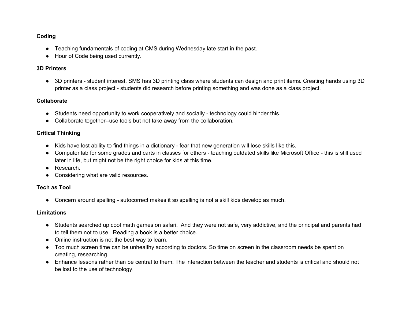#### **Coding**

- Teaching fundamentals of coding at CMS during Wednesday late start in the past.
- Hour of Code being used currently.

#### **3D Printers**

● 3D printers - student interest. SMS has 3D printing class where students can design and print items. Creating hands using 3D printer as a class project - students did research before printing something and was done as a class project.

#### **Collaborate**

- Students need opportunity to work cooperatively and socially technology could hinder this.
- Collaborate together--use tools but not take away from the collaboration.

#### **Critical Thinking**

- Kids have lost ability to find things in a dictionary fear that new generation will lose skills like this.
- Computer lab for some grades and carts in classes for others teaching outdated skills like Microsoft Office this is still used later in life, but might not be the right choice for kids at this time.
- Research.
- Considering what are valid resources.

#### **Tech as Tool**

● Concern around spelling - autocorrect makes it so spelling is not a skill kids develop as much.

#### **Limitations**

- Students searched up cool math games on safari. And they were not safe, very addictive, and the principal and parents had to tell them not to use Reading a book is a better choice.
- Online instruction is not the best way to learn.
- Too much screen time can be unhealthy according to doctors. So time on screen in the classroom needs be spent on creating, researching.
- Enhance lessons rather than be central to them. The interaction between the teacher and students is critical and should not be lost to the use of technology.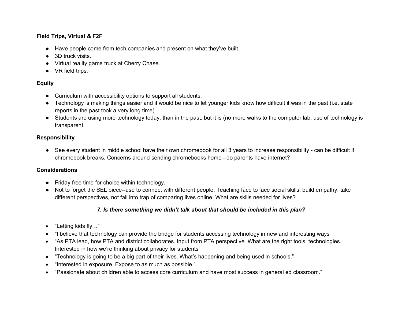#### **Field Trips, Virtual & F2F**

- Have people come from tech companies and present on what they've built.
- 3D truck visits.
- Virtual reality game truck at Cherry Chase.
- VR field trips.

#### **Equity**

- Curriculum with accessibility options to support all students.
- Technology is making things easier and it would be nice to let younger kids know how difficult it was in the past (i.e. state reports in the past took a very long time).
- Students are using more technology today, than in the past, but it is (no more walks to the computer lab, use of technology is transparent.

#### **Responsibility**

● See every student in middle school have their own chromebook for all 3 years to increase responsibility - can be difficult if chromebook breaks. Concerns around sending chromebooks home - do parents have internet?

#### **Considerations**

- Friday free time for choice within technology.
- Not to forget the SEL piece--use to connect with different people. Teaching face to face social skills, build empathy, take different perspectives, not fall into trap of comparing lives online. What are skills needed for lives?

#### *7. Is there something we didn't talk about that should be included in this plan?*

- "Letting kids fly…"
- "I believe that technology can provide the bridge for students accessing technology in new and interesting ways
- "As PTA lead, how PTA and district collaborates. Input from PTA perspective. What are the right tools, technologies. Interested in how we're thinking about privacy for students"
- "Technology is going to be a big part of their lives. What's happening and being used in schools."
- "Interested in exposure. Expose to as much as possible."
- "Passionate about children able to access core curriculum and have most success in general ed classroom."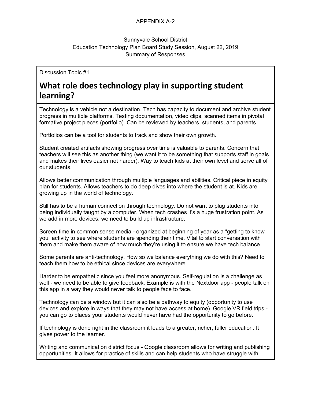#### APPENDIX A-2

#### Sunnyvale School District Education Technology Plan Board Study Session, August 22, 2019 Summary of Responses

Discussion Topic #1

# **What role does technology play in supporting student learning?**

Technology is a vehicle not a destination. Tech has capacity to document and archive student progress in multiple platforms. Testing documentation, video clips, scanned items in pivotal formative project pieces (portfolio). Can be reviewed by teachers, students, and parents.

Portfolios can be a tool for students to track and show their own growth.

Student created artifacts showing progress over time is valuable to parents. Concern that teachers will see this as another thing (we want it to be something that supports staff in goals and makes their lives easier not harder). Way to teach kids at their own level and serve all of our students.

Allows better communication through multiple languages and abilities. Critical piece in equity plan for students. Allows teachers to do deep dives into where the student is at. Kids are growing up in the world of technology.

Still has to be a human connection through technology. Do not want to plug students into being individually taught by a computer. When tech crashes it's a huge frustration point. As we add in more devices, we need to build up infrastructure.

Screen time in common sense media - organized at beginning of year as a "getting to know you" activity to see where students are spending their time. Vital to start conversation with them and make them aware of how much they're using it to ensure we have tech balance.

Some parents are anti-technology. How so we balance everything we do with this? Need to teach them how to be ethical since devices are everywhere.

Harder to be empathetic since you feel more anonymous. Self-regulation is a challenge as well - we need to be able to give feedback. Example is with the Nextdoor app - people talk on this app in a way they would never talk to people face to face.

Technology can be a window but it can also be a pathway to equity (opportunity to use devices and explore in ways that they may not have access at home). Google VR field trips you can go to places your students would never have had the opportunity to go before.

If technology is done right in the classroom it leads to a greater, richer, fuller education. It gives power to the learner.

Writing and communication district focus - Google classroom allows for writing and publishing opportunities. It allows for practice of skills and can help students who have struggle with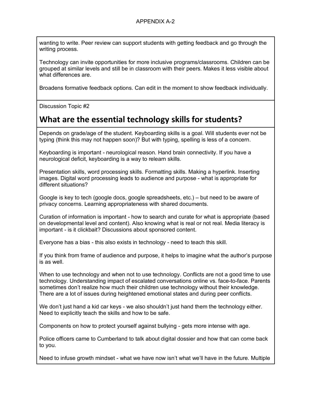wanting to write. Peer review can support students with getting feedback and go through the writing process.

Technology can invite opportunities for more inclusive programs/classrooms. Children can be grouped at similar levels and still be in classroom with their peers. Makes it less visible about what differences are.

Broadens formative feedback options. Can edit in the moment to show feedback individually.

Discussion Topic #2

# **What are the essential technology skills for students?**

Depends on grade/age of the student. Keyboarding skills is a goal. Will students ever not be typing (think this may not happen soon)? But with typing, spelling is less of a concern.

Keyboarding is important - neurological reason. Hand brain connectivity. If you have a neurological deficit, keyboarding is a way to relearn skills.

Presentation skills, word processing skills. Formatting skills. Making a hyperlink. Inserting images. Digital word processing leads to audience and purpose - what is appropriate for different situations?

Google is key to tech (google docs, google spreadsheets, etc.) – but need to be aware of privacy concerns. Learning appropriateness with shared documents.

Curation of information is important - how to search and curate for what is appropriate (based on developmental level and content). Also knowing what is real or not real. Media literacy is important - is it clickbait? Discussions about sponsored content.

Everyone has a bias - this also exists in technology - need to teach this skill.

If you think from frame of audience and purpose, it helps to imagine what the author's purpose is as well.

When to use technology and when not to use technology. Conflicts are not a good time to use technology. Understanding impact of escalated conversations online vs. face-to-face. Parents sometimes don't realize how much their children use technology without their knowledge. There are a lot of issues during heightened emotional states and during peer conflicts.

We don't just hand a kid car keys - we also shouldn't just hand them the technology either. Need to explicitly teach the skills and how to be safe.

Components on how to protect yourself against bullying - gets more intense with age.

Police officers came to Cumberland to talk about digital dossier and how that can come back to you.

Need to infuse growth mindset - what we have now isn't what we'll have in the future. Multiple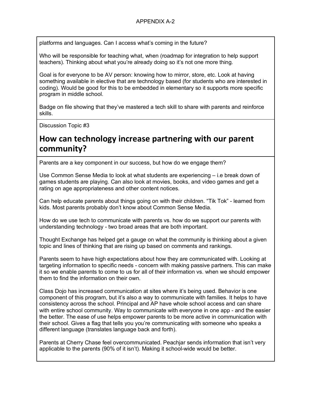platforms and languages. Can I access what's coming in the future?

Who will be responsible for teaching what, when (roadmap for integration to help support teachers). Thinking about what you're already doing so it's not one more thing.

Goal is for everyone to be AV person: knowing how to mirror, store, etc. Look at having something available in elective that are technology based (for students who are interested in coding). Would be good for this to be embedded in elementary so it supports more specific program in middle school.

Badge on file showing that they've mastered a tech skill to share with parents and reinforce skills.

Discussion Topic #3

# **How can technology increase partnering with our parent community?**

Parents are a key component in our success, but how do we engage them?

Use Common Sense Media to look at what students are experiencing – i.e break down of games students are playing. Can also look at movies, books, and video games and get a rating on age appropriateness and other content notices.

Can help educate parents about things going on with their children. "Tik Tok" - learned from kids. Most parents probably don't know about Common Sense Media.

How do we use tech to communicate with parents vs. how do we support our parents with understanding technology - two broad areas that are both important.

Thought Exchange has helped get a gauge on what the community is thinking about a given topic and lines of thinking that are rising up based on comments and rankings.

Parents seem to have high expectations about how they are communicated with. Looking at targeting information to specific needs - concern with making passive partners. This can make it so we enable parents to come to us for all of their information vs. when we should empower them to find the information on their own.

Class Dojo has increased communication at sites where it's being used. Behavior is one component of this program, but it's also a way to communicate with families. It helps to have consistency across the school. Principal and AP have whole school access and can share with entire school community. Way to communicate with everyone in one app - and the easier the better. The ease of use helps empower parents to be more active in communication with their school. Gives a flag that tells you you're communicating with someone who speaks a different language (translates language back and forth).

Parents at Cherry Chase feel overcommunicated. Peachjar sends information that isn't very applicable to the parents (90% of it isn't). Making it school-wide would be better.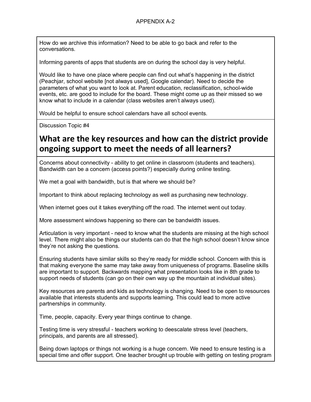How do we archive this information? Need to be able to go back and refer to the conversations.

Informing parents of apps that students are on during the school day is very helpful.

Would like to have one place where people can find out what's happening in the district (Peachjar, school website [not always used], Google calendar). Need to decide the parameters of what you want to look at. Parent education, reclassification, school-wide events, etc. are good to include for the board. These might come up as their missed so we know what to include in a calendar (class websites aren't always used).

Would be helpful to ensure school calendars have all school events.

Discussion Topic #4

# **What are the key resources and how can the district provide ongoing support to meet the needs of all learners?**

Concerns about connectivity - ability to get online in classroom (students and teachers). Bandwidth can be a concern (access points?) especially during online testing.

We met a goal with bandwidth, but is that where we should be?

Important to think about replacing technology as well as purchasing new technology.

When internet goes out it takes everything off the road. The internet went out today.

More assessment windows happening so there can be bandwidth issues.

Articulation is very important - need to know what the students are missing at the high school level. There might also be things our students can do that the high school doesn't know since they're not asking the questions.

Ensuring students have similar skills so they're ready for middle school. Concern with this is that making everyone the same may take away from uniqueness of programs. Baseline skills are important to support. Backwards mapping what presentation looks like in 8th grade to support needs of students (can go on their own way up the mountain at individual sites).

Key resources are parents and kids as technology is changing. Need to be open to resources available that interests students and supports learning. This could lead to more active partnerships in community.

Time, people, capacity. Every year things continue to change.

Testing time is very stressful - teachers working to deescalate stress level (teachers, principals, and parents are all stressed).

Being down laptops or things not working is a huge concern. We need to ensure testing is a special time and offer support. One teacher brought up trouble with getting on testing program